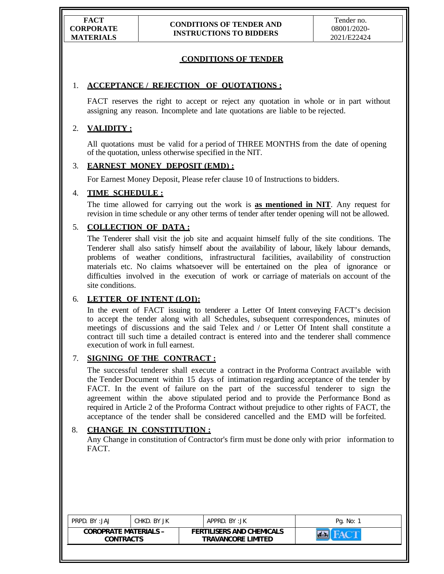# **CONDITIONS OF TENDER**

## 1. **ACCEPTANCE / REJECTION OF QUOTATIONS :**

 FACT reserves the right to accept or reject any quotation in whole or in part without assigning any reason. Incomplete and late quotations are liable to be rejected.

## 2. **VALIDITY :**

 All quotations must be valid for a period of THREE MONTHS from the date of opening of the quotation, unless otherwise specified in the NIT.

## 3. **EARNEST MONEY DEPOSIT (EMD) :**

For Earnest Money Deposit, Please refer clause 10 of Instructions to bidders.

## 4. **TIME SCHEDULE :**

 The time allowed for carrying out the work is **as mentioned in NIT**. Any request for revision in time schedule or any other terms of tender after tender opening will not be allowed.

# 5. **COLLECTION OF DATA :**

 The Tenderer shall visit the job site and acquaint himself fully of the site conditions. The Tenderer shall also satisfy himself about the availability of labour, likely labour demands, problems of weather conditions, infrastructural facilities, availability of construction materials etc. No claims whatsoever will be entertained on the plea of ignorance or difficulties involved in the execution of work or carriage of materials on account of the site conditions.

# 6. **LETTER OF INTENT (LOI):**

 In the event of FACT issuing to tenderer a Letter Of Intent conveying FACT's decision to accept the tender along with all Schedules, subsequent correspondences, minutes of meetings of discussions and the said Telex and / or Letter Of Intent shall constitute a contract till such time a detailed contract is entered into and the tenderer shall commence execution of work in full earnest.

## 7. **SIGNING OF THE CONTRACT :**

 The successful tenderer shall execute a contract in the Proforma Contract available with the Tender Document within 15 days of intimation regarding acceptance of the tender by FACT. In the event of failure on the part of the successful tenderer to sign the agreement within the above stipulated period and to provide the Performance Bond as required in Article 2 of the Proforma Contract without prejudice to other rights of FACT, the acceptance of the tender shall be considered cancelled and the EMD will be forfeited.

#### 8. **CHANGE IN CONSTITUTION :**

Any Change in constitution of Contractor's firm must be done only with prior information to FACT.

| PRPD. BY:JAJ                              | CHKD. BY JK | APPRD. BY:JK                                                  | Pg. No: |
|-------------------------------------------|-------------|---------------------------------------------------------------|---------|
| <b>COROPRATE MATERIALS -</b><br>CONTRACTS |             | <b>FERTILISERS AND CHEMICALS</b><br><b>TRAVANCORE LIMITED</b> |         |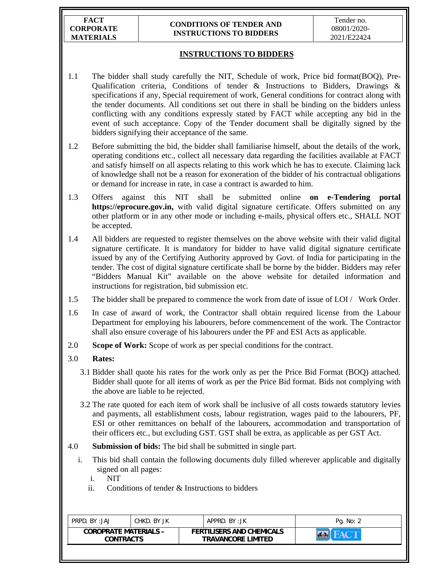**FACT CORPORATE MATERIALS** 

#### **CONDITIONS OF TENDER AND INSTRUCTIONS TO BIDDERS**

# **INSTRUCTIONS TO BIDDERS**

- 1.1 The bidder shall study carefully the NIT, Schedule of work, Price bid format(BOQ), Pre-Qualification criteria, Conditions of tender & Instructions to Bidders, Drawings & specifications if any, Special requirement of work, General conditions for contract along with the tender documents. All conditions set out there in shall be binding on the bidders unless conflicting with any conditions expressly stated by FACT while accepting any bid in the event of such acceptance. Copy of the Tender document shall be digitally signed by the bidders signifying their acceptance of the same.
- 1.2 Before submitting the bid, the bidder shall familiarise himself, about the details of the work, operating conditions etc., collect all necessary data regarding the facilities available at FACT and satisfy himself on all aspects relating to this work which he has to execute. Claiming lack of knowledge shall not be a reason for exoneration of the bidder of his contractual obligations or demand for increase in rate, in case a contract is awarded to him.
- 1.3 Offers against this NIT shall be submitted online **on e-Tendering portal https://eprocure.gov.in,** with valid digital signature certificate. Offers submitted on any other platform or in any other mode or including e-mails, physical offers etc., SHALL NOT be accepted.
- 1.4 All bidders are requested to register themselves on the above website with their valid digital signature certificate. It is mandatory for bidder to have valid digital signature certificate issued by any of the Certifying Authority approved by Govt. of India for participating in the tender. The cost of digital signature certificate shall be borne by the bidder. Bidders may refer "Bidders Manual Kit" available on the above website for detailed information and instructions for registration, bid submission etc.
- 1.5 The bidder shall be prepared to commence the work from date of issue of LOI / Work Order.
- 1.6 In case of award of work, the Contractor shall obtain required license from the Labour Department for employing his labourers, before commencement of the work. The Contractor shall also ensure coverage of his labourers under the PF and ESI Acts as applicable.
- 2.0 **Scope of Work:** Scope of work as per special conditions for the contract.
- 3.0 **Rates:**
	- 3.1 Bidder shall quote his rates for the work only as per the Price Bid Format (BOQ) attached. Bidder shall quote for all items of work as per the Price Bid format. Bids not complying with the above are liable to be rejected.
	- 3.2 The rate quoted for each item of work shall be inclusive of all costs towards statutory levies and payments, all establishment costs, labour registration, wages paid to the labourers, PF, ESI or other remittances on behalf of the labourers, accommodation and transportation of their officers etc., but excluding GST. GST shall be extra, as applicable as per GST Act.
- 4.0 **Submission of bids:** The bid shall be submitted in single part.
	- i. This bid shall contain the following documents duly filled wherever applicable and digitally signed on all pages:
		- i. NIT
		- ii. Conditions of tender & Instructions to bidders

| <b>FERTILISERS AND CHEMICALS</b><br><b>COROPRATE MATERIALS -</b> | PRPD. BY: JAJ | CHKD, BY JK | APPRD. BY: JK             | Pg. No: 2 |
|------------------------------------------------------------------|---------------|-------------|---------------------------|-----------|
| CONTRACTS                                                        |               |             | <b>TRAVANCORE LIMITED</b> |           |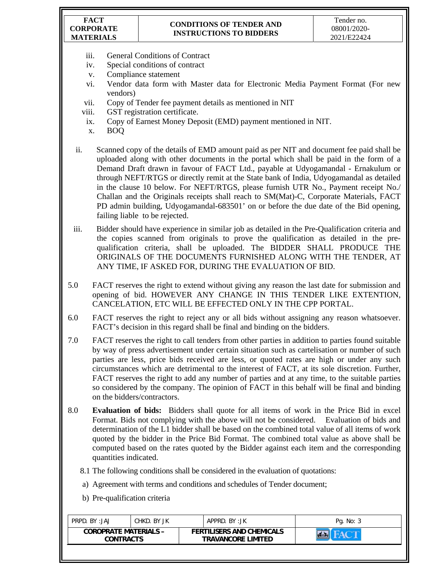#### **FACT CORPORATE MATERIALS**

## **CONDITIONS OF TENDER AND INSTRUCTIONS TO BIDDERS**

- iii. General Conditions of Contract
- iv. Special conditions of contract
- v. Compliance statement
- vi. Vendor data form with Master data for Electronic Media Payment Format (For new vendors)
- vii. Copy of Tender fee payment details as mentioned in NIT
- viii. GST registration certificate.
- ix. Copy of Earnest Money Deposit (EMD) payment mentioned in NIT.
- x. BOQ
- ii. Scanned copy of the details of EMD amount paid as per NIT and document fee paid shall be uploaded along with other documents in the portal which shall be paid in the form of a Demand Draft drawn in favour of FACT Ltd., payable at Udyogamandal - Ernakulum or through NEFT/RTGS or directly remit at the State bank of India, Udyogamandal as detailed in the clause 10 below. For NEFT/RTGS, please furnish UTR No., Payment receipt No./ Challan and the Originals receipts shall reach to SM(Mat)-C, Corporate Materials, FACT PD admin building, Udyogamandal-683501' on or before the due date of the Bid opening, failing liable to be rejected.
- iii. Bidder should have experience in similar job as detailed in the Pre-Qualification criteria and the copies scanned from originals to prove the qualification as detailed in the prequalification criteria, shall be uploaded. The BIDDER SHALL PRODUCE THE ORIGINALS OF THE DOCUMENTS FURNISHED ALONG WITH THE TENDER, AT ANY TIME, IF ASKED FOR, DURING THE EVALUATION OF BID.
- 5.0 FACT reserves the right to extend without giving any reason the last date for submission and opening of bid. HOWEVER ANY CHANGE IN THIS TENDER LIKE EXTENTION, CANCELATION, ETC WILL BE EFFECTED ONLY IN THE CPP PORTAL.
- 6.0 FACT reserves the right to reject any or all bids without assigning any reason whatsoever. FACT's decision in this regard shall be final and binding on the bidders.
- 7.0 FACT reserves the right to call tenders from other parties in addition to parties found suitable by way of press advertisement under certain situation such as cartelisation or number of such parties are less, price bids received are less, or quoted rates are high or under any such circumstances which are detrimental to the interest of FACT, at its sole discretion. Further, FACT reserves the right to add any number of parties and at any time, to the suitable parties so considered by the company. The opinion of FACT in this behalf will be final and binding on the bidders/contractors.
- 8.0 **Evaluation of bids:** Bidders shall quote for all items of work in the Price Bid in excel Format. Bids not complying with the above will not be considered. Evaluation of bids and determination of the L1 bidder shall be based on the combined total value of all items of work quoted by the bidder in the Price Bid Format. The combined total value as above shall be computed based on the rates quoted by the Bidder against each item and the corresponding quantities indicated.
	- 8.1 The following conditions shall be considered in the evaluation of quotations:
	- a) Agreement with terms and conditions and schedules of Tender document;
	- b) Pre-qualification criteria

| <b>COROPRATE MATERIALS -</b><br><b>FERTILISERS AND CHEMICALS</b><br><b>CONTRACTS</b><br><b>TRAVANCORE LIMITED</b> | PRPD. BY:JAJ | CHKD. BY JK |  | APPRD. BY:JK | Pg. No: 3 |
|-------------------------------------------------------------------------------------------------------------------|--------------|-------------|--|--------------|-----------|
|                                                                                                                   |              |             |  |              |           |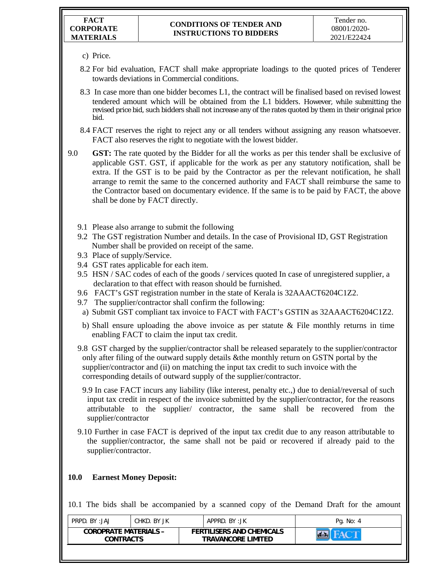- c) Price.
- 8.2 For bid evaluation, FACT shall make appropriate loadings to the quoted prices of Tenderer towards deviations in Commercial conditions.
- 8.3 In case more than one bidder becomes L1, the contract will be finalised based on revised lowest tendered amount which will be obtained from the L1 bidders. However, while submitting the revised price bid, such bidders shall not increase any of the rates quoted by them in their original price bid.
- 8.4 FACT reserves the right to reject any or all tenders without assigning any reason whatsoever. FACT also reserves the right to negotiate with the lowest bidder.
- 9.0 **GST:** The rate quoted by the Bidder for all the works as per this tender shall be exclusive of applicable GST. GST, if applicable for the work as per any statutory notification, shall be extra. If the GST is to be paid by the Contractor as per the relevant notification, he shall arrange to remit the same to the concerned authority and FACT shall reimburse the same to the Contractor based on documentary evidence. If the same is to be paid by FACT, the above shall be done by FACT directly.
	- 9.1 Please also arrange to submit the following
	- 9.2 The GST registration Number and details. In the case of Provisional ID, GST Registration Number shall be provided on receipt of the same.
	- 9.3 Place of supply/Service.
	- 9.4 GST rates applicable for each item.
	- 9.5 HSN / SAC codes of each of the goods / services quoted In case of unregistered supplier, a declaration to that effect with reason should be furnished.
	- 9.6 FACT's GST registration number in the state of Kerala is 32AAACT6204C1Z2.
	- 9.7 The supplier/contractor shall confirm the following:
	- a) Submit GST compliant tax invoice to FACT with FACT's GSTIN as 32AAACT6204C1Z2.
	- b) Shall ensure uploading the above invoice as per statute  $\&$  File monthly returns in time enabling FACT to claim the input tax credit.
	- 9.8 GST charged by the supplier/contractor shall be released separately to the supplier/contractor only after filing of the outward supply details &the monthly return on GSTN portal by the supplier/contractor and (ii) on matching the input tax credit to such invoice with the corresponding details of outward supply of the supplier/contractor.
		- 9.9 In case FACT incurs any liability (like interest, penalty etc.,) due to denial/reversal of such input tax credit in respect of the invoice submitted by the supplier/contractor, for the reasons attributable to the supplier/ contractor, the same shall be recovered from the supplier/contractor
	- 9.10 Further in case FACT is deprived of the input tax credit due to any reason attributable to the supplier/contractor, the same shall not be paid or recovered if already paid to the supplier/contractor.

### **10.0 Earnest Money Deposit:**

10.1 The bids shall be accompanied by a scanned copy of the Demand Draft for the amount

|                                                                                                                   | Pg. No: 4 |
|-------------------------------------------------------------------------------------------------------------------|-----------|
| <b>COROPRATE MATERIALS -</b><br><b>FERTILISERS AND CHEMICALS</b><br><b>TRAVANCORE LIMITED</b><br><b>CONTRACTS</b> |           |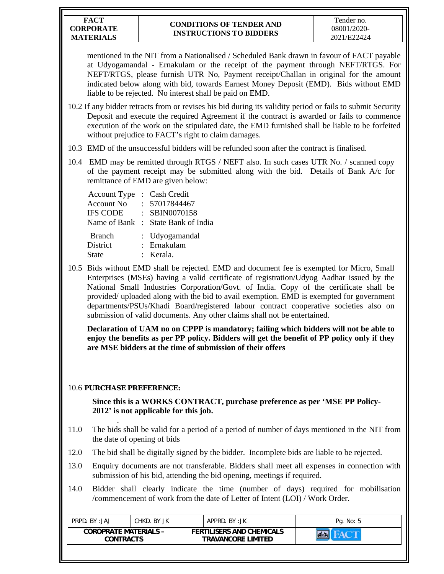mentioned in the NIT from a Nationalised / Scheduled Bank drawn in favour of FACT payable at Udyogamandal - Ernakulam or the receipt of the payment through NEFT/RTGS. For NEFT/RTGS, please furnish UTR No, Payment receipt/Challan in original for the amount indicated below along with bid, towards Earnest Money Deposit (EMD). Bids without EMD liable to be rejected. No interest shall be paid on EMD.

- 10.2 If any bidder retracts from or revises his bid during its validity period or fails to submit Security Deposit and execute the required Agreement if the contract is awarded or fails to commence execution of the work on the stipulated date, the EMD furnished shall be liable to be forfeited without prejudice to FACT's right to claim damages.
- 10.3 EMD of the unsuccessful bidders will be refunded soon after the contract is finalised.
- 10.4 EMD may be remitted through RTGS / NEFT also. In such cases UTR No. / scanned copy of the payment receipt may be submitted along with the bid. Details of Bank A/c for remittance of EMD are given below:

| Account Type : Cash Credit |                                    |
|----------------------------|------------------------------------|
| Account No.                | : 57017844467                      |
| <b>IFS CODE</b>            | $:$ SBIN0070158                    |
|                            | Name of Bank : State Bank of India |
|                            |                                    |

| <b>Branch</b>   | : Udyogamandal |
|-----------------|----------------|
| <b>District</b> | : Ernakulam    |
| <b>State</b>    | : Kerala.      |

10.5 Bids without EMD shall be rejected. EMD and document fee is exempted for Micro, Small Enterprises (MSEs) having a valid certificate of registration/Udyog Aadhar issued by the National Small Industries Corporation/Govt. of India. Copy of the certificate shall be provided/ uploaded along with the bid to avail exemption. EMD is exempted for government departments/PSUs/Khadi Board/registered labour contract cooperative societies also on submission of valid documents. Any other claims shall not be entertained.

**Declaration of UAM no on CPPP is mandatory; failing which bidders will not be able to enjoy the benefits as per PP policy. Bidders will get the benefit of PP policy only if they are MSE bidders at the time of submission of their offers** 

# 10.6 **PURCHASE PREFERENCE:**

**Since this is a WORKS CONTRACT, purchase preference as per 'MSE PP Policy-2012' is not applicable for this job.** 

- . 11.0 The bids shall be valid for a period of a period of number of days mentioned in the NIT from the date of opening of bids
- 12.0 The bid shall be digitally signed by the bidder. Incomplete bids are liable to be rejected.
- 13.0 Enquiry documents are not transferable. Bidders shall meet all expenses in connection with submission of his bid, attending the bid opening, meetings if required.
- 14.0 Bidder shall clearly indicate the time (number of days) required for mobilisation /commencement of work from the date of Letter of Intent (LOI) / Work Order.

| <b>COROPRATE MATERIALS -</b><br><b>FERTILISERS AND CHEMICALS</b><br><b>TRAVANCORE LIMITED</b><br><b>CONTRACTS</b> | PRPD. BY: JAJ | CHKD. BY JK | APPRD. BY:JK | Pg. No: 5 |
|-------------------------------------------------------------------------------------------------------------------|---------------|-------------|--------------|-----------|
|                                                                                                                   |               |             |              |           |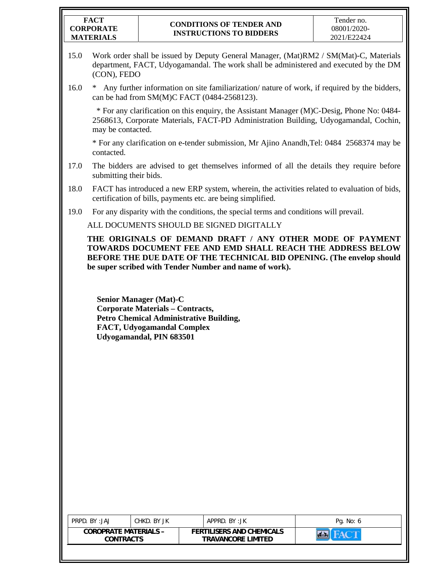#### **FACT CORPORATE MATERIALS**

### **CONDITIONS OF TENDER AND INSTRUCTIONS TO BIDDERS**

- 15.0 Work order shall be issued by Deputy General Manager, (Mat)RM2 / SM(Mat)-C, Materials department, FACT, Udyogamandal. The work shall be administered and executed by the DM (CON), FEDO
- 16.0 \* Any further information on site familiarization/ nature of work, if required by the bidders, can be had from SM(M)C FACT (0484-2568123).

 \* For any clarification on this enquiry, the Assistant Manager (M)C-Desig, Phone No: 0484- 2568613, Corporate Materials, FACT-PD Administration Building, Udyogamandal, Cochin, may be contacted.

\* For any clarification on e-tender submission, Mr Ajino Anandh,Tel: 0484 2568374 may be contacted.

- 17.0 The bidders are advised to get themselves informed of all the details they require before submitting their bids.
- 18.0 FACT has introduced a new ERP system, wherein, the activities related to evaluation of bids, certification of bills, payments etc. are being simplified.
- 19.0 For any disparity with the conditions, the special terms and conditions will prevail.

ALL DOCUMENTS SHOULD BE SIGNED DIGITALLY

**THE ORIGINALS OF DEMAND DRAFT / ANY OTHER MODE OF PAYMENT TOWARDS DOCUMENT FEE AND EMD SHALL REACH THE ADDRESS BELOW BEFORE THE DUE DATE OF THE TECHNICAL BID OPENING. (The envelop should be super scribed with Tender Number and name of work).** 

**Senior Manager (Mat)-C Corporate Materials – Contracts, Petro Chemical Administrative Building, FACT, Udyogamandal Complex Udyogamandal, PIN 683501** 

| <b>COROPRATE MATERIALS -</b><br><b>FERTILISERS AND CHEMICALS</b><br><b>TRAVANCORE LIMITED</b><br><b>CONTRACTS</b> | PRPD. BY:JAJ | CHKD. BY JK | APPRD. BY:JK | Pg. No: 6 |
|-------------------------------------------------------------------------------------------------------------------|--------------|-------------|--------------|-----------|
|                                                                                                                   |              |             |              |           |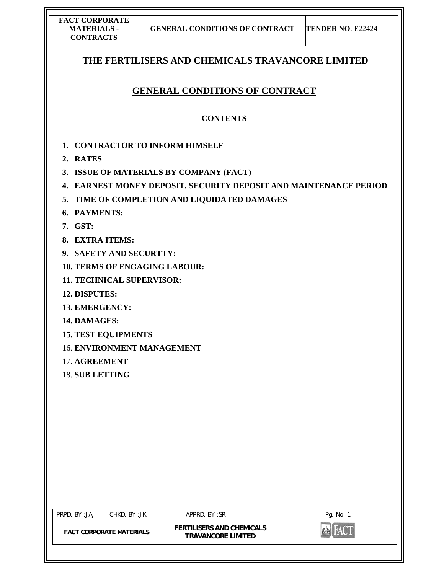| <b>FACT CORPORATE</b> |
|-----------------------|
| MATERIALS -           |
| <b>CONTRACTS</b>      |

# **THE FERTILISERS AND CHEMICALS TRAVANCORE LIMITED**

# **GENERAL CONDITIONS OF CONTRACT**

## **CONTENTS**

- **1. CONTRACTOR TO INFORM HIMSELF**
- **2. RATES**
- **3. ISSUE OF MATERIALS BY COMPANY (FACT)**
- **4. EARNEST MONEY DEPOSIT. SECURITY DEPOSIT AND MAINTENANCE PERIOD**
- **5. TIME OF COMPLETION AND LIQUIDATED DAMAGES**
- **6. PAYMENTS:**
- **7. GST:**
- **8. EXTRA ITEMS:**
- **9. SAFETY AND SECURTTY:**
- **10. TERMS OF ENGAGING LABOUR:**
- **11. TECHNICAL SUPERVISOR:**
- **12. DISPUTES:**
- **13. EMERGENCY:**
- **14. DAMAGES:**
- **15. TEST EQUIPMENTS**
- 16. **ENVIRONMENT MANAGEMENT**
- 17. **AGREEMENT**
- 18. **SUB LETTING**

| PRPD. BY: JAJ | CHKD. BY :JK                    | APPRD. BY:SR                                                  | Pg. No: 1 |
|---------------|---------------------------------|---------------------------------------------------------------|-----------|
|               | <b>FACT CORPORATE MATERIALS</b> | <b>FERTILISERS AND CHEMICALS</b><br><b>TRAVANCORE LIMITED</b> |           |
|               |                                 |                                                               |           |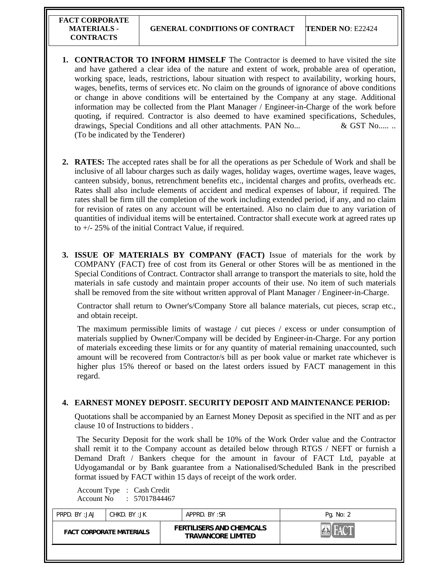- **1. CONTRACTOR TO INFORM HIMSELF** The Contractor is deemed to have visited the site and have gathered a clear idea of the nature and extent of work, probable area of operation, working space, leads, restrictions, labour situation with respect to availability, working hours, wages, benefits, terms of services etc. No claim on the grounds of ignorance of above conditions or change in above conditions will be entertained by the Company at any stage. Additional information may be collected from the Plant Manager / Engineer-in-Charge of the work before quoting, if required. Contractor is also deemed to have examined specifications, Schedules, drawings, Special Conditions and all other attachments. PAN No...  $\&$  GST No...... (To be indicated by the Tenderer)
- **2. RATES:** The accepted rates shall be for all the operations as per Schedule of Work and shall be inclusive of all labour charges such as daily wages, holiday wages, overtime wages, leave wages, canteen subsidy, bonus, retrenchment benefits etc., incidental charges and profits, overheads etc. Rates shall also include elements of accident and medical expenses of labour, if required. The rates shall be firm till the completion of the work including extended period, if any, and no claim for revision of rates on any account will be entertained. Also no claim due to any variation of quantities of individual items will be entertained. Contractor shall execute work at agreed rates up to +/- 25% of the initial Contract Value, if required.
- **3. ISSUE OF MATERIALS BY COMPANY (FACT)** Issue of materials for the work by COMPANY (FACT) free of cost from its General or other Stores will be as mentioned in the Special Conditions of Contract. Contractor shall arrange to transport the materials to site, hold the materials in safe custody and maintain proper accounts of their use. No item of such materials shall be removed from the site without written approval of Plant Manager / Engineer-in-Charge.

Contractor shall return to Owner's/Company Store all balance materials, cut pieces, scrap etc., and obtain receipt.

The maximum permissible limits of wastage / cut pieces / excess or under consumption of materials supplied by Owner/Company will be decided by Engineer-in-Charge. For any portion of materials exceeding these limits or for any quantity of material remaining unaccounted, such amount will be recovered from Contractor/s bill as per book value or market rate whichever is higher plus 15% thereof or based on the latest orders issued by FACT management in this regard.

#### **4. EARNEST MONEY DEPOSIT. SECURITY DEPOSIT AND MAINTENANCE PERIOD:**

Quotations shall be accompanied by an Earnest Money Deposit as specified in the NIT and as per clause 10 of Instructions to bidders .

 The Security Deposit for the work shall be 10% of the Work Order value and the Contractor shall remit it to the Company account as detailed below through RTGS / NEFT or furnish a Demand Draft / Bankers cheque for the amount in favour of FACT Ltd, payable at Udyogamandal or by Bank guarantee from a Nationalised/Scheduled Bank in the prescribed format issued by FACT within 15 days of receipt of the work order.

Account Type : Cash Credit Account No : 57017844467

| <b>FERTILISERS AND CHEMICALS</b><br><b>FACT CORPORATE MATERIALS</b><br><b>TRAVANCORE LIMITED</b> | PRPD. BY: JAJ | CHKD. BY :JK | APPRD. BY:SR | Pg. No: 2 |
|--------------------------------------------------------------------------------------------------|---------------|--------------|--------------|-----------|
|                                                                                                  |               |              |              |           |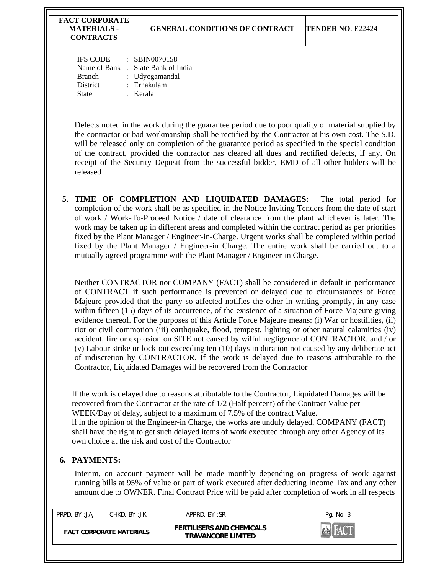| IFS CODE | $\therefore$ SBIN0070158           |
|----------|------------------------------------|
|          | Name of Bank : State Bank of India |
| Branch   | : Udyogamandal                     |
| District | : Ernakulam                        |
| State    | : Kerala                           |
|          |                                    |

Defects noted in the work during the guarantee period due to poor quality of material supplied by the contractor or bad workmanship shall be rectified by the Contractor at his own cost. The S.D. will be released only on completion of the guarantee period as specified in the special condition of the contract, provided the contractor has cleared all dues and rectified defects, if any. On receipt of the Security Deposit from the successful bidder, EMD of all other bidders will be released

**5. TIME OF COMPLETION AND LIQUIDATED DAMAGES:** The total period for completion of the work shall be as specified in the Notice Inviting Tenders from the date of start of work / Work-To-Proceed Notice / date of clearance from the plant whichever is later. The work may be taken up in different areas and completed within the contract period as per priorities fixed by the Plant Manager / Engineer-in-Charge. Urgent works shall be completed within period fixed by the Plant Manager / Engineer-in Charge. The entire work shall be carried out to a mutually agreed programme with the Plant Manager / Engineer-in Charge.

Neither CONTRACTOR nor COMPANY (FACT) shall be considered in default in performance of CONTRACT if such performance is prevented or delayed due to circumstances of Force Majeure provided that the party so affected notifies the other in writing promptly, in any case within fifteen (15) days of its occurrence, of the existence of a situation of Force Majeure giving evidence thereof. For the purposes of this Article Force Majeure means: (i) War or hostilities, (ii) riot or civil commotion (iii) earthquake, flood, tempest, lighting or other natural calamities (iv) accident, fire or explosion on SITE not caused by wilful negligence of CONTRACTOR, and / or (v) Labour strike or lock-out exceeding ten (10) days in duration not caused by any deliberate act of indiscretion by CONTRACTOR. If the work is delayed due to reasons attributable to the Contractor, Liquidated Damages will be recovered from the Contractor

If the work is delayed due to reasons attributable to the Contractor, Liquidated Damages will be recovered from the Contractor at the rate of 1/2 (Half percent) of the Contract Value per WEEK/Day of delay, subject to a maximum of 7.5% of the contract Value. lf in the opinion of the Engineer-in Charge, the works are unduly delayed, COMPANY (FACT) shall have the right to get such delayed items of work executed through any other Agency of its own choice at the risk and cost of the Contractor

# **6. PAYMENTS:**

Interim, on account payment will be made monthly depending on progress of work against running bills at 95% of value or part of work executed after deducting Income Tax and any other amount due to OWNER. Final Contract Price will be paid after completion of work in all respects

| PRPD. BY: JAJ<br>CHKD. BY :JK   |  | APPRD, BY:SR                                                  | Pg. No: 3 |
|---------------------------------|--|---------------------------------------------------------------|-----------|
| <b>FACT CORPORATE MATERIALS</b> |  | <b>FERTILISERS AND CHEMICALS</b><br><b>TRAVANCORE LIMITED</b> |           |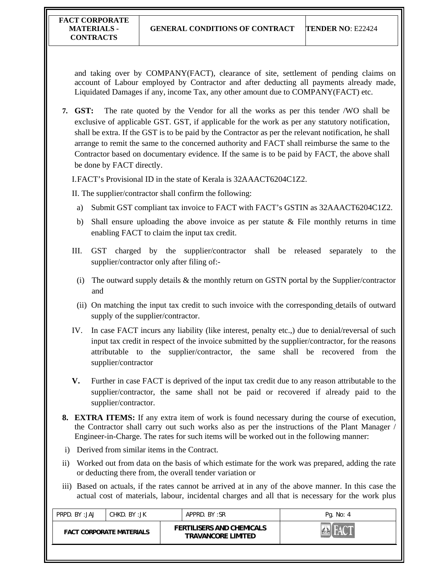and taking over by COMPANY(FACT), clearance of site, settlement of pending claims on account of Labour employed by Contractor and after deducting all payments already made, Liquidated Damages if any, income Tax, any other amount due to COMPANY(FACT) etc.

**7. GST:** The rate quoted by the Vendor for all the works as per this tender /WO shall be exclusive of applicable GST. GST, if applicable for the work as per any statutory notification, shall be extra. If the GST is to be paid by the Contractor as per the relevant notification, he shall arrange to remit the same to the concerned authority and FACT shall reimburse the same to the Contractor based on documentary evidence. If the same is to be paid by FACT, the above shall be done by FACT directly.

I.FACT's Provisional ID in the state of Kerala is 32AAACT6204C1Z2.

II. The supplier/contractor shall confirm the following:

- a) Submit GST compliant tax invoice to FACT with FACT's GSTIN as 32AAACT6204C1Z2.
- b) Shall ensure uploading the above invoice as per statute  $\&$  File monthly returns in time enabling FACT to claim the input tax credit.
- III. GST charged by the supplier/contractor shall be released separately to the supplier/contractor only after filing of:-
	- (i) The outward supply details & the monthly return on GSTN portal by the Supplier/contractor and
	- (ii) On matching the input tax credit to such invoice with the corresponding details of outward supply of the supplier/contractor.
- IV. In case FACT incurs any liability (like interest, penalty etc.,) due to denial/reversal of such input tax credit in respect of the invoice submitted by the supplier/contractor, for the reasons attributable to the supplier/contractor, the same shall be recovered from the supplier/contractor
- **V.** Further in case FACT is deprived of the input tax credit due to any reason attributable to the supplier/contractor, the same shall not be paid or recovered if already paid to the supplier/contractor.
- **8. EXTRA ITEMS:** If any extra item of work is found necessary during the course of execution, the Contractor shall carry out such works also as per the instructions of the Plant Manager / Engineer-in-Charge. The rates for such items will be worked out in the following manner:
- i) Derived from similar items in the Contract.
- ii) Worked out from data on the basis of which estimate for the work was prepared, adding the rate or deducting there from, the overall tender variation or
- iii) Based on actuals, if the rates cannot be arrived at in any of the above manner. In this case the actual cost of materials, labour, incidental charges and all that is necessary for the work plus

| PRPD. BY:JAJ<br>CHKD. BY :JK    | APPRD. BY:SR                                                  | Pg. No: 4 |
|---------------------------------|---------------------------------------------------------------|-----------|
| <b>FACT CORPORATE MATERIALS</b> | <b>FERTILISERS AND CHEMICALS</b><br><b>TRAVANCORE LIMITED</b> |           |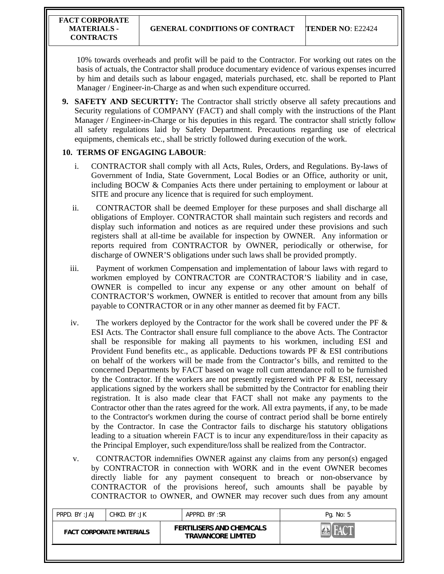10% towards overheads and profit will be paid to the Contractor. For working out rates on the basis of actuals, the Contractor shall produce documentary evidence of various expenses incurred by him and details such as labour engaged, materials purchased, etc. shall be reported to Plant Manager / Engineer-in-Charge as and when such expenditure occurred.

**9. SAFETY AND SECURTTY:** The Contractor shall strictly observe all safety precautions and Security regulations of COMPANY (FACT) and shall comply with the instructions of the Plant Manager / Engineer-in-Charge or his deputies in this regard. The contractor shall strictly follow all safety regulations laid by Safety Department. Precautions regarding use of electrical equipments, chemicals etc., shall be strictly followed during execution of the work.

#### **10. TERMS OF ENGAGING LABOUR**:

- i. CONTRACTOR shall comply with all Acts, Rules, Orders, and Regulations. By-laws of Government of India, State Government, Local Bodies or an Office, authority or unit, including BOCW & Companies Acts there under pertaining to employment or labour at SITE and procure any licence that is required for such employment.
- ii. CONTRACTOR shall be deemed Employer for these purposes and shall discharge all obligations of Employer. CONTRACTOR shall maintain such registers and records and display such information and notices as are required under these provisions and such registers shall at all-time be available for inspection by OWNER. Any information or reports required from CONTRACTOR by OWNER, periodically or otherwise, for discharge of OWNER'S obligations under such laws shall be provided promptly.
- iii. Payment of workmen Compensation and implementation of labour laws with regard to workmen employed by CONTRACTOR are CONTRACTOR'S liability and in case, OWNER is compelled to incur any expense or any other amount on behalf of CONTRACTOR'S workmen, OWNER is entitled to recover that amount from any bills payable to CONTRACTOR or in any other manner as deemed fit by FACT.
- iv. The workers deployed by the Contractor for the work shall be covered under the PF  $\&$ ESI Acts. The Contractor shall ensure full compliance to the above Acts. The Contractor shall be responsible for making all payments to his workmen, including ESI and Provident Fund benefits etc., as applicable. Deductions towards PF & ESI contributions on behalf of the workers will be made from the Contractor's bills, and remitted to the concerned Departments by FACT based on wage roll cum attendance roll to be furnished by the Contractor. If the workers are not presently registered with PF & ESI, necessary applications signed by the workers shall be submitted by the Contractor for enabling their registration. It is also made clear that FACT shall not make any payments to the Contractor other than the rates agreed for the work. All extra payments, if any, to be made to the Contractor's workmen during the course of contract period shall be borne entirely by the Contractor. In case the Contractor fails to discharge his statutory obligations leading to a situation wherein FACT is to incur any expenditure/loss in their capacity as the Principal Employer, such expenditure/loss shall be realized from the Contractor.
- v. CONTRACTOR indemnifies OWNER against any claims from any person(s) engaged by CONTRACTOR in connection with WORK and in the event OWNER becomes directly liable for any payment consequent to breach or non-observance by CONTRACTOR of the provisions hereof, such amounts shall be payable by CONTRACTOR to OWNER, and OWNER may recover such dues from any amount

| PRPD. BY:JAJ                    | CHKD. BY :JK |  | APPRD. BY:SR                                                  |  | Pg. No: 5 |
|---------------------------------|--------------|--|---------------------------------------------------------------|--|-----------|
| <b>FACT CORPORATE MATERIALS</b> |              |  | <b>FERTILISERS AND CHEMICALS</b><br><b>TRAVANCORE LIMITED</b> |  |           |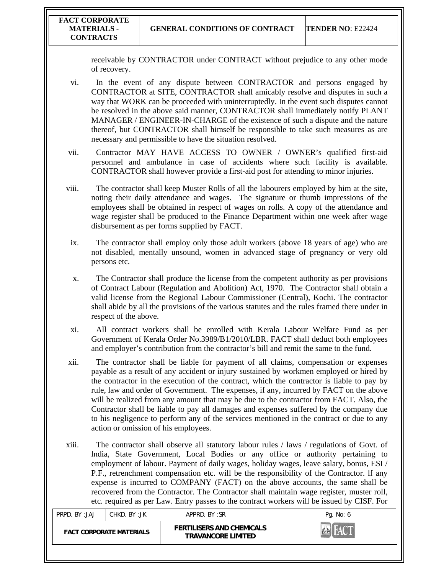receivable by CONTRACTOR under CONTRACT without prejudice to any other mode of recovery.

- vi. In the event of any dispute between CONTRACTOR and persons engaged by CONTRACTOR at SITE, CONTRACTOR shall amicably resolve and disputes in such a way that WORK can be proceeded with uninterruptedly. In the event such disputes cannot be resolved in the above said manner, CONTRACTOR shall immediately notify PLANT MANAGER / ENGINEER-IN-CHARGE of the existence of such a dispute and the nature thereof, but CONTRACTOR shall himself be responsible to take such measures as are necessary and permissible to have the situation resolved.
- vii. Contractor MAY HAVE ACCESS TO OWNER / OWNER's qualified first-aid personnel and ambulance in case of accidents where such facility is available. CONTRACTOR shall however provide a first-aid post for attending to minor injuries.
- viii. The contractor shall keep Muster Rolls of all the labourers employed by him at the site, noting their daily attendance and wages. The signature or thumb impressions of the employees shall be obtained in respect of wages on rolls. A copy of the attendance and wage register shall be produced to the Finance Department within one week after wage disbursement as per forms supplied by FACT.
- ix. The contractor shall employ only those adult workers (above 18 years of age) who are not disabled, mentally unsound, women in advanced stage of pregnancy or very old persons etc.
- x. The Contractor shall produce the license from the competent authority as per provisions of Contract Labour (Regulation and Abolition) Act, 1970. The Contractor shall obtain a valid license from the Regional Labour Commissioner (Central), Kochi. The contractor shall abide by all the provisions of the various statutes and the rules framed there under in respect of the above.
- xi. All contract workers shall be enrolled with Kerala Labour Welfare Fund as per Government of Kerala Order No.3989/B1/2010/LBR. FACT shall deduct both employees and employer's contribution from the contractor's bill and remit the same to the fund.
- xii. The contractor shall be liable for payment of all claims, compensation or expenses payable as a result of any accident or injury sustained by workmen employed or hired by the contractor in the execution of the contract, which the contractor is liable to pay by rule, law and order of Government. The expenses, if any, incurred by FACT on the above will be realized from any amount that may be due to the contractor from FACT. Also, the Contractor shall be liable to pay all damages and expenses suffered by the company due to his negligence to perform any of the services mentioned in the contract or due to any action or omission of his employees.
- xiii. The contractor shall observe all statutory labour rules / laws / regulations of Govt. of lndia, State Government, Local Bodies or any office or authority pertaining to employment of labour. Payment of daily wages, holiday wages, leave salary, bonus, ESI / P.F., retrenchment compensation etc. will be the responsibility of the Contractor. lf any expense is incurred to COMPANY (FACT) on the above accounts, the same shall be recovered from the Contractor. The Contractor shall maintain wage register, muster roll, etc. required as per Law. Entry passes to the contract workers will be issued by CISF. For

| PRPD. BY:JAJ | CHKD. BY :JK                    | APPRD. BY:SR |                                                               | Pg. No: 6 |
|--------------|---------------------------------|--------------|---------------------------------------------------------------|-----------|
|              | <b>FACT CORPORATE MATERIALS</b> |              | <b>FERTILISERS AND CHEMICALS</b><br><b>TRAVANCORE LIMITED</b> |           |
|              |                                 |              |                                                               |           |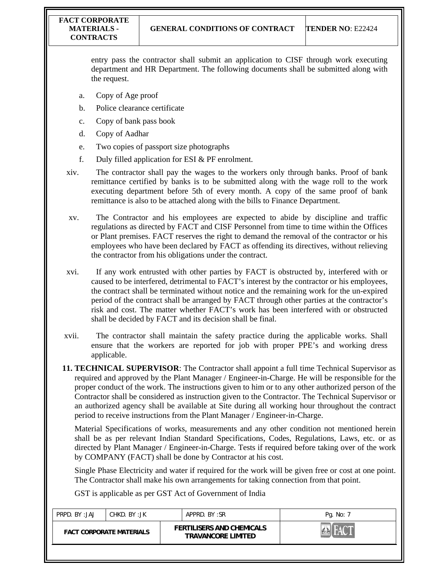entry pass the contractor shall submit an application to CISF through work executing department and HR Department. The following documents shall be submitted along with the request.

- a. Copy of Age proof
- b. Police clearance certificate
- c. Copy of bank pass book
- d. Copy of Aadhar
- e. Two copies of passport size photographs
- f. Duly filled application for ESI & PF enrolment.
- xiv. The contractor shall pay the wages to the workers only through banks. Proof of bank remittance certified by banks is to be submitted along with the wage roll to the work executing department before 5th of every month. A copy of the same proof of bank remittance is also to be attached along with the bills to Finance Department.
- xv. The Contractor and his employees are expected to abide by discipline and traffic regulations as directed by FACT and CISF Personnel from time to time within the Offices or Plant premises. FACT reserves the right to demand the removal of the contractor or his employees who have been declared by FACT as offending its directives, without relieving the contractor from his obligations under the contract.
- xvi. If any work entrusted with other parties by FACT is obstructed by, interfered with or caused to be interfered, detrimental to FACT's interest by the contractor or his employees, the contract shall be terminated without notice and the remaining work for the un-expired period of the contract shall be arranged by FACT through other parties at the contractor's risk and cost. The matter whether FACT's work has been interfered with or obstructed shall be decided by FACT and its decision shall be final.
- xvii. The contractor shall maintain the safety practice during the applicable works. Shall ensure that the workers are reported for job with proper PPE's and working dress applicable.
- **11. TECHNICAL SUPERVISOR**: The Contractor shall appoint a full time Technical Supervisor as required and approved by the Plant Manager / Engineer-in-Charge. He will be responsible for the proper conduct of the work. The instructions given to him or to any other authorized person of the Contractor shall be considered as instruction given to the Contractor. The Technical Supervisor or an authorized agency shall be available at Site during all working hour throughout the contract period to receive instructions from the Plant Manager / Engineer-in-Charge.

Material Specifications of works, measurements and any other condition not mentioned herein shall be as per relevant Indian Standard Specifications, Codes, Regulations, Laws, etc. or as directed by Plant Manager / Engineer-in-Charge. Tests if required before taking over of the work by COMPANY (FACT) shall be done by Contractor at his cost.

Single Phase Electricity and water if required for the work will be given free or cost at one point. The Contractor shall make his own arrangements for taking connection from that point.

GST is applicable as per GST Act of Government of India

| <b>FERTILISERS AND CHEMICALS</b><br><b>FACT CORPORATE MATERIALS</b><br><b>TRAVANCORE LIMITED</b> | PRPD. BY: JAJ | CHKD. BY :JK |  | APPRD, BY:SR | Pg. No: 7 |
|--------------------------------------------------------------------------------------------------|---------------|--------------|--|--------------|-----------|
|                                                                                                  |               |              |  |              |           |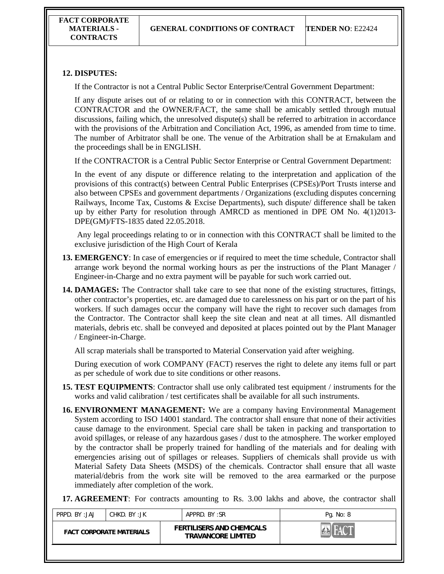# **12. DISPUTES:**

If the Contractor is not a Central Public Sector Enterprise/Central Government Department:

If any dispute arises out of or relating to or in connection with this CONTRACT, between the CONTRACTOR and the OWNER/FACT, the same shall be amicably settled through mutual discussions, failing which, the unresolved dispute(s) shall be referred to arbitration in accordance with the provisions of the Arbitration and Conciliation Act, 1996, as amended from time to time. The number of Arbitrator shall be one. The venue of the Arbitration shall be at Ernakulam and the proceedings shall be in ENGLISH.

If the CONTRACTOR is a Central Public Sector Enterprise or Central Government Department:

In the event of any dispute or difference relating to the interpretation and application of the provisions of this contract(s) between Central Public Enterprises (CPSEs)/Port Trusts interse and also between CPSEs and government departments / Organizations (excluding disputes concerning Railways, Income Tax, Customs & Excise Departments), such dispute/ difference shall be taken up by either Party for resolution through AMRCD as mentioned in DPE OM No. 4(1)2013- DPE(GM)/FTS-1835 dated 22.05.2018.

 Any legal proceedings relating to or in connection with this CONTRACT shall be limited to the exclusive jurisdiction of the High Court of Kerala

- **13. EMERGENCY**: In case of emergencies or if required to meet the time schedule, Contractor shall arrange work beyond the normal working hours as per the instructions of the Plant Manager / Engineer-in-Charge and no extra payment will be payable for such work carried out.
- **14. DAMAGES:** The Contractor shall take care to see that none of the existing structures, fittings, other contractor's properties, etc. are damaged due to carelessness on his part or on the part of his workers. lf such damages occur the company will have the right to recover such damages from the Contractor. The Contractor shall keep the site clean and neat at all times. All dismantled materials, debris etc. shall be conveyed and deposited at places pointed out by the Plant Manager / Engineer-in-Charge.

All scrap materials shall be transported to Material Conservation yaid after weighing.

During execution of work COMPANY (FACT) reserves the right to delete any items full or part as per schedule of work due to site conditions or other reasons.

- **15. TEST EQUIPMENTS**: Contractor shall use only calibrated test equipment / instruments for the works and valid calibration / test certificates shall be available for all such instruments.
- **16. ENVIRONMENT MANAGEMENT:** We are a company having Environmental Management System according to ISO 14001 standard. The contractor shall ensure that none of their activities cause damage to the environment. Special care shall be taken in packing and transportation to avoid spillages, or release of any hazardous gases / dust to the atmosphere. The worker employed by the contractor shall be properly trained for handling of the materials and for dealing with emergencies arising out of spillages or releases. Suppliers of chemicals shall provide us with Material Safety Data Sheets (MSDS) of the chemicals. Contractor shall ensure that all waste material/debris from the work site will be removed to the area earmarked or the purpose immediately after completion of the work.

**17. AGREEMENT**: For contracts amounting to Rs. 3.00 lakhs and above, the contractor shall

| PRPD. BY:JAJ<br>CHKD. BY :JK    |  | APPRD. BY:SR                                                  | Pg. No: 8 |
|---------------------------------|--|---------------------------------------------------------------|-----------|
| <b>FACT CORPORATE MATERIALS</b> |  | <b>FERTILISERS AND CHEMICALS</b><br><b>TRAVANCORE LIMITED</b> |           |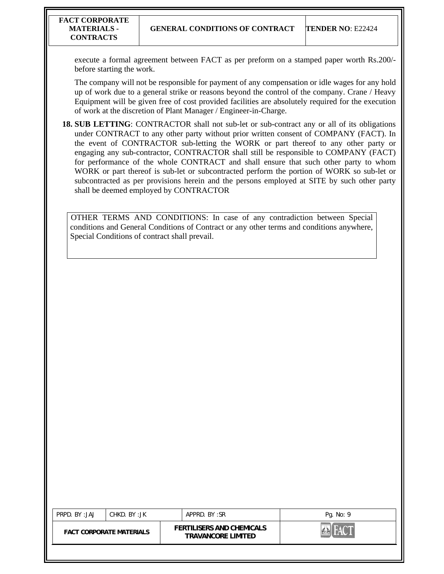execute a formal agreement between FACT as per preform on a stamped paper worth Rs.200/ before starting the work.

The company will not be responsible for payment of any compensation or idle wages for any hold up of work due to a general strike or reasons beyond the control of the company. Crane / Heavy Equipment will be given free of cost provided facilities are absolutely required for the execution of work at the discretion of Plant Manager / Engineer-in-Charge.

**18. SUB LETTING:** CONTRACTOR shall not sub-let or sub-contract any or all of its obligations under CONTRACT to any other party without prior written consent of COMPANY (FACT). In the event of CONTRACTOR sub-letting the WORK or part thereof to any other party or engaging any sub-contractor, CONTRACTOR shall still be responsible to COMPANY (FACT) for performance of the whole CONTRACT and shall ensure that such other party to whom WORK or part thereof is sub-let or subcontracted perform the portion of WORK so sub-let or subcontracted as per provisions herein and the persons employed at SITE by such other party shall be deemed employed by CONTRACTOR

OTHER TERMS AND CONDITIONS: In case of any contradiction between Special conditions and General Conditions of Contract or any other terms and conditions anywhere, Special Conditions of contract shall prevail.

| PRPD. BY:JAJ                    | CHKD. BY :JK |                                                               | APPRD, BY:SR | Pg. No: 9 |
|---------------------------------|--------------|---------------------------------------------------------------|--------------|-----------|
| <b>FACT CORPORATE MATERIALS</b> |              | <b>FERTILISERS AND CHEMICALS</b><br><b>TRAVANCORE LIMITED</b> |              |           |
|                                 |              |                                                               |              |           |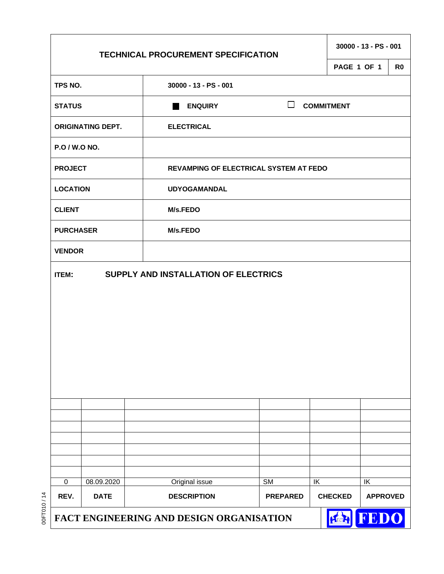|                  |                          | <b>TECHNICAL PROCUREMENT SPECIFICATION</b>    |                        |    |                   | 30000 - 13 - PS - 001 |                |
|------------------|--------------------------|-----------------------------------------------|------------------------|----|-------------------|-----------------------|----------------|
|                  |                          |                                               |                        |    | PAGE 1 OF 1       |                       | R <sub>0</sub> |
| TPS NO.          |                          | 30000 - 13 - PS - 001                         |                        |    |                   |                       |                |
| <b>STATUS</b>    |                          | <b>ENQUIRY</b>                                | ப                      |    | <b>COMMITMENT</b> |                       |                |
|                  | <b>ORIGINATING DEPT.</b> | <b>ELECTRICAL</b>                             |                        |    |                   |                       |                |
| P.O / W.O NO.    |                          |                                               |                        |    |                   |                       |                |
| <b>PROJECT</b>   |                          | <b>REVAMPING OF ELECTRICAL SYSTEM AT FEDO</b> |                        |    |                   |                       |                |
| <b>LOCATION</b>  |                          | <b>UDYOGAMANDAL</b>                           |                        |    |                   |                       |                |
| <b>CLIENT</b>    |                          | <b>M/s.FEDO</b>                               |                        |    |                   |                       |                |
| <b>PURCHASER</b> |                          | M/s.FEDO                                      |                        |    |                   |                       |                |
| <b>VENDOR</b>    |                          |                                               |                        |    |                   |                       |                |
| <b>ITEM:</b>     |                          | SUPPLY AND INSTALLATION OF ELECTRICS          |                        |    |                   |                       |                |
|                  |                          |                                               |                        |    |                   |                       |                |
|                  |                          |                                               |                        |    |                   |                       |                |
|                  |                          |                                               |                        |    |                   |                       |                |
|                  |                          |                                               |                        |    |                   |                       |                |
|                  |                          |                                               |                        |    |                   |                       |                |
|                  |                          |                                               |                        |    |                   |                       |                |
|                  |                          |                                               |                        |    |                   |                       |                |
|                  |                          |                                               |                        |    |                   |                       |                |
|                  |                          |                                               |                        |    |                   |                       |                |
| $\pmb{0}$        | 08.09.2020               |                                               | $\overline{\text{SM}}$ | IK |                   | IK                    |                |
| REV.             | <b>DATE</b>              | Original issue<br><b>DESCRIPTION</b>          | <b>PREPARED</b>        |    | <b>CHECKED</b>    | <b>APPROVED</b>       |                |
|                  |                          | FACT ENGINEERING AND DESIGN ORGANISATION      |                        |    | <b>A final A</b>  | FEDO                  |                |

00FT010 / 14

00FT010/14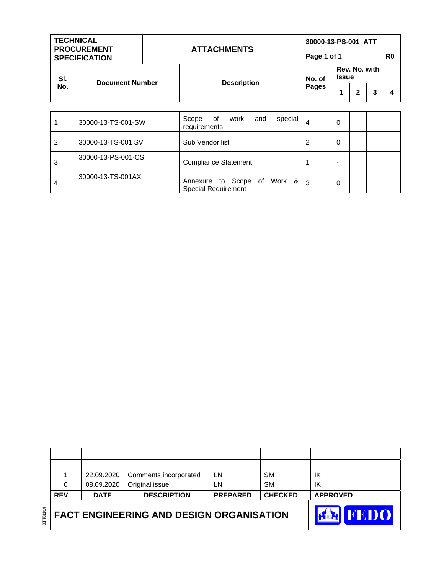

|            | 22.09.2020  | Comments incorporated | LN              | <b>SM</b>      | ΙK              |
|------------|-------------|-----------------------|-----------------|----------------|-----------------|
|            | 08.09.2020  | Original issue        | LN              | <b>SM</b>      | ΙK              |
| <b>REV</b> | <b>DATE</b> | <b>DESCRIPTION</b>    | <b>PREPARED</b> | <b>CHECKED</b> | <b>APPROVED</b> |
|            |             |                       |                 |                |                 |

| No.            | <b>DOCUMENT MUNICI</b> | DESCRIPTION                                                                                                               | Pages |   | $\mathbf{2}$ | 3 | 4 |
|----------------|------------------------|---------------------------------------------------------------------------------------------------------------------------|-------|---|--------------|---|---|
|                |                        |                                                                                                                           |       |   |              |   |   |
|                | 30000-13-TS-001-SW     | special<br>0f<br>Scope<br>and<br>work<br>requirements                                                                     | 4     | 0 |              |   |   |
| $\overline{2}$ | 30000-13-TS-001 SV     | Sub Vendor list                                                                                                           | 2     | 0 |              |   |   |
| 3              | 30000-13-PS-001-CS     | <b>Compliance Statement</b>                                                                                               |       | - |              |   |   |
| 4              | 30000-13-TS-001AX      | Work &<br>Scope<br>οf<br>Annexure to<br>$\bigcap_{i=1}^n a_i = a_i$ is a subsequently in the set of $\bigcap_{i=1}^n a_i$ | 3     | 0 |              |   |   |

Special Requirement

| TECHNICAL<br><b>PROCUREMENT</b><br><b>SPECIFICATION</b> |                        | <b>ATTACHMENTS</b> |                    | 30000-13-PS-001 ATT |                               |   |   |   |  |  |
|---------------------------------------------------------|------------------------|--------------------|--------------------|---------------------|-------------------------------|---|---|---|--|--|
|                                                         |                        |                    |                    | Page 1 of 1         |                               |   |   |   |  |  |
| SI.<br>No.                                              | <b>Document Number</b> |                    | <b>Description</b> | No. of              | Rev. No. with<br><b>Issue</b> |   |   |   |  |  |
|                                                         |                        |                    |                    | Pages               |                               | 2 | 3 | 4 |  |  |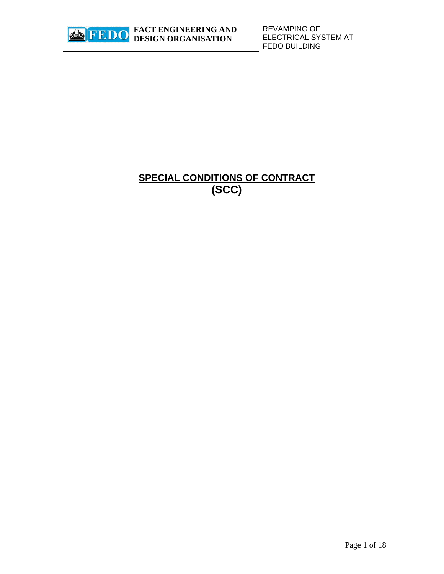

REVAMPING OF ELECTRICAL SYSTEM AT FEDO BUILDING

# **SPECIAL CONDITIONS OF CONTRACT (SCC)**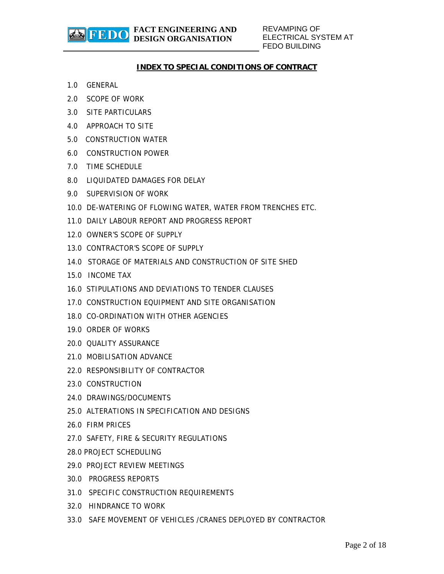REVAMPING OF ELECTRICAL SYSTEM AT FEDO BUILDING

## **INDEX TO SPECIAL CONDITIONS OF CONTRACT**

1.0 GENERAL

**参FEDO** 

- 2.0 SCOPE OF WORK
- 3.0 SITE PARTICULARS
- 4.0 APPROACH TO SITE
- 5.0 CONSTRUCTION WATER
- 6.0 CONSTRUCTION POWER
- 7.0 TIME SCHEDULE
- 8.0 LIQUIDATED DAMAGES FOR DELAY
- 9.0 SUPERVISION OF WORK
- 10.0 DE-WATERING OF FLOWING WATER, WATER FROM TRENCHES ETC.
- 11.0 DAILY LABOUR REPORT AND PROGRESS REPORT
- 12.0 OWNER'S SCOPE OF SUPPLY
- 13.0 CONTRACTOR'S SCOPE OF SUPPLY
- 14.0 STORAGE OF MATERIALS AND CONSTRUCTION OF SITE SHED
- 15.0 INCOME TAX
- 16.0 STIPULATIONS AND DEVIATIONS TO TENDER CLAUSES
- 17.0 CONSTRUCTION EQUIPMENT AND SITE ORGANISATION
- 18.0 CO-ORDINATION WITH OTHER AGENCIES
- 19.0 ORDER OF WORKS
- 20.0 QUALITY ASSURANCE
- 21.0 MOBILISATION ADVANCE
- 22.0 RESPONSIBILITY OF CONTRACTOR
- 23.0 CONSTRUCTION
- 24.0 DRAWINGS/DOCUMENTS
- 25.0 ALTERATIONS IN SPECIFICATION AND DESIGNS
- 26.0 FIRM PRICES
- 27.0 SAFETY, FIRE & SECURITY REGULATIONS
- 28.0 PROJECT SCHEDULING
- 29.0 PROJECT REVIEW MEETINGS
- 30.0 PROGRESS REPORTS
- 31.0 SPECIFIC CONSTRUCTION REQUIREMENTS
- 32.0 HINDRANCE TO WORK
- 33.0 SAFE MOVEMENT OF VEHICLES /CRANES DEPLOYED BY CONTRACTOR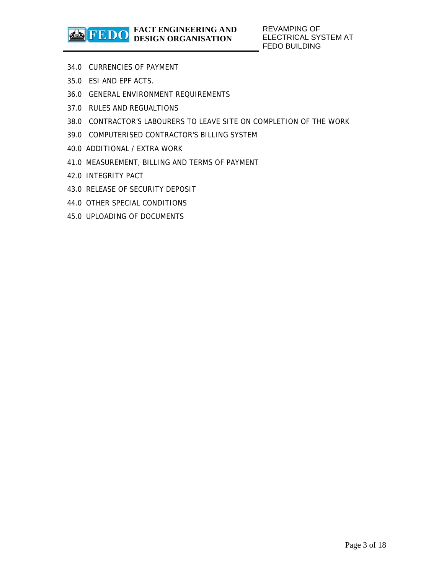- 34.0 CURRENCIES OF PAYMENT
- 35.0 ESI AND EPF ACTS.
- 36.0 GENERAL ENVIRONMENT REQUIREMENTS
- 37.0 RULES AND REGUALTIONS
- 38.0 CONTRACTOR'S LABOURERS TO LEAVE SITE ON COMPLETION OF THE WORK
- 39.0 COMPUTERISED CONTRACTOR'S BILLING SYSTEM
- 40.0 ADDITIONAL / EXTRA WORK
- 41.0 MEASUREMENT, BILLING AND TERMS OF PAYMENT
- 42.0 INTEGRITY PACT
- 43.0 RELEASE OF SECURITY DEPOSIT
- 44.0 OTHER SPECIAL CONDITIONS
- 45.0 UPLOADING OF DOCUMENTS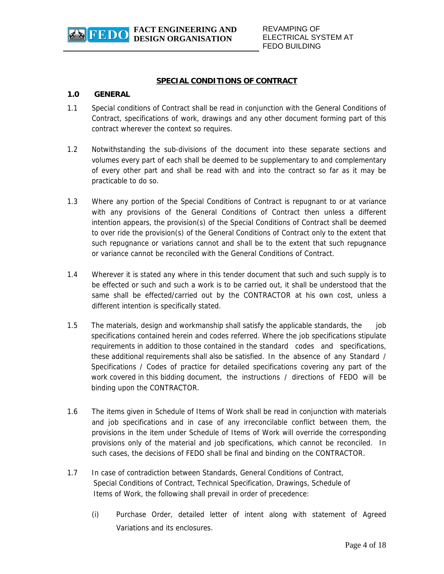

#### **SPECIAL CONDITIONS OF CONTRACT**

#### **1.0 GENERAL**

- 1.1 Special conditions of Contract shall be read in conjunction with the General Conditions of Contract, specifications of work, drawings and any other document forming part of this contract wherever the context so requires.
- 1.2 Notwithstanding the sub-divisions of the document into these separate sections and volumes every part of each shall be deemed to be supplementary to and complementary of every other part and shall be read with and into the contract so far as it may be practicable to do so.
- 1.3 Where any portion of the Special Conditions of Contract is repugnant to or at variance with any provisions of the General Conditions of Contract then unless a different intention appears, the provision(s) of the Special Conditions of Contract shall be deemed to over ride the provision(s) of the General Conditions of Contract only to the extent that such repugnance or variations cannot and shall be to the extent that such repugnance or variance cannot be reconciled with the General Conditions of Contract.
- 1.4 Wherever it is stated any where in this tender document that such and such supply is to be effected or such and such a work is to be carried out, it shall be understood that the same shall be effected/carried out by the CONTRACTOR at his own cost, unless a different intention is specifically stated.
- 1.5 The materials, design and workmanship shall satisfy the applicable standards, the job specifications contained herein and codes referred. Where the job specifications stipulate requirements in addition to those contained in the standard codes and specifications, these additional requirements shall also be satisfied. In the absence of any Standard / Specifications / Codes of practice for detailed specifications covering any part of the work covered in this bidding document, the instructions / directions of FEDO will be binding upon the CONTRACTOR.
- 1.6 The items given in Schedule of Items of Work shall be read in conjunction with materials and job specifications and in case of any irreconcilable conflict between them, the provisions in the item under Schedule of Items of Work will override the corresponding provisions only of the material and job specifications, which cannot be reconciled. In such cases, the decisions of FEDO shall be final and binding on the CONTRACTOR.
- 1.7 In case of contradiction between Standards, General Conditions of Contract, Special Conditions of Contract, Technical Specification, Drawings, Schedule of Items of Work, the following shall prevail in order of precedence:
- Page 4 of 18 (i) Purchase Order, detailed letter of intent along with statement of Agreed Variations and its enclosures.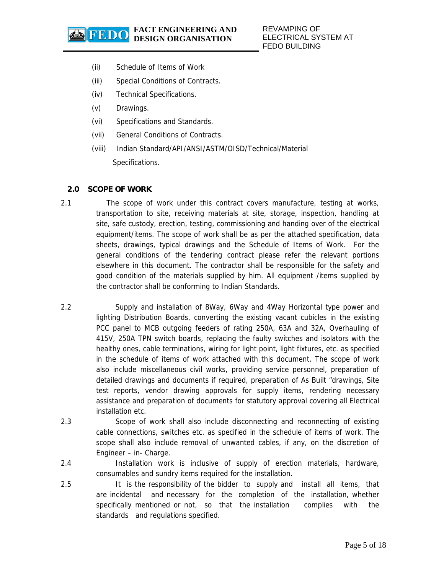- (ii) Schedule of Items of Work
- (iii) Special Conditions of Contracts.
- (iv) Technical Specifications.
- (v) Drawings.
- (vi) Specifications and Standards.
- (vii) General Conditions of Contracts.
- (viii) Indian Standard/API/ANSI/ASTM/OISD/Technical/Material Specifications.

## **2.0 SCOPE OF WORK**

- 2.1 The scope of work under this contract covers manufacture, testing at works, transportation to site, receiving materials at site, storage, inspection, handling at site, safe custody, erection, testing, commissioning and handing over of the electrical equipment/items. The scope of work shall be as per the attached specification, data sheets, drawings, typical drawings and the Schedule of Items of Work. For the general conditions of the tendering contract please refer the relevant portions elsewhere in this document. The contractor shall be responsible for the safety and good condition of the materials supplied by him. All equipment /items supplied by the contractor shall be conforming to Indian Standards.
- 2.2 Supply and installation of 8Way, 6Way and 4Way Horizontal type power and lighting Distribution Boards, converting the existing vacant cubicles in the existing PCC panel to MCB outgoing feeders of rating 250A, 63A and 32A, Overhauling of 415V, 250A TPN switch boards, replacing the faulty switches and isolators with the healthy ones, cable terminations, wiring for light point, light fixtures, etc. as specified in the schedule of items of work attached with this document. The scope of work also include miscellaneous civil works, providing service personnel, preparation of detailed drawings and documents if required, preparation of As Built "drawings, Site test reports, vendor drawing approvals for supply items, rendering necessary assistance and preparation of documents for statutory approval covering all Electrical installation etc.
- 2.3 Scope of work shall also include disconnecting and reconnecting of existing cable connections, switches etc. as specified in the schedule of items of work. The scope shall also include removal of unwanted cables, if any, on the discretion of Engineer – in- Charge.
- 2.4 Installation work is inclusive of supply of erection materials, hardware, consumables and sundry items required for the installation.
- 2.5 It is the responsibility of the bidder to supply and install all items, that are incidental and necessary for the completion of the installation, whether specifically mentioned or not, so that the installation complies with the standards and regulations specified.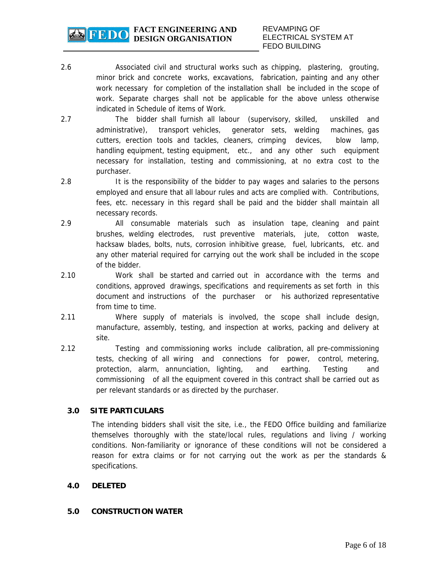- 2.6 Associated civil and structural works such as chipping, plastering, grouting, minor brick and concrete works, excavations, fabrication, painting and any other work necessary for completion of the installation shall be included in the scope of work. Separate charges shall not be applicable for the above unless otherwise indicated in Schedule of items of Work.
- 2.7 The bidder shall furnish all labour (supervisory, skilled, unskilled and administrative), transport vehicles, generator sets, welding machines, gas cutters, erection tools and tackles, cleaners, crimping devices, blow lamp, handling equipment, testing equipment, etc., and any other such equipment necessary for installation, testing and commissioning, at no extra cost to the purchaser.
- 2.8 It is the responsibility of the bidder to pay wages and salaries to the persons employed and ensure that all labour rules and acts are complied with. Contributions, fees, etc. necessary in this regard shall be paid and the bidder shall maintain all necessary records.
- 2.9 All consumable materials such as insulation tape, cleaning and paint brushes, welding electrodes, rust preventive materials, jute, cotton waste, hacksaw blades, bolts, nuts, corrosion inhibitive grease, fuel, lubricants, etc. and any other material required for carrying out the work shall be included in the scope of the bidder.
- 2.10 Work shall be started and carried out in accordance with the terms and conditions, approved drawings, specifications and requirements as set forth in this document and instructions of the purchaser or his authorized representative from time to time.
- 2.11 Where supply of materials is involved, the scope shall include design, manufacture, assembly, testing, and inspection at works, packing and delivery at site.
- 2.12 Testing and commissioning works include calibration, all pre-commissioning tests, checking of all wiring and connections for power, control, metering, protection, alarm, annunciation, lighting, and earthing. Testing and commissioning of all the equipment covered in this contract shall be carried out as per relevant standards or as directed by the purchaser.

# **3.0 SITE PARTICULARS**

The intending bidders shall visit the site, i.e., the FEDO Office building and familiarize themselves thoroughly with the state/local rules, regulations and living / working conditions. Non-familiarity or ignorance of these conditions will not be considered a reason for extra claims or for not carrying out the work as per the standards & specifications.

# **4.0 DELETED**

#### **5.0 CONSTRUCTION WATER**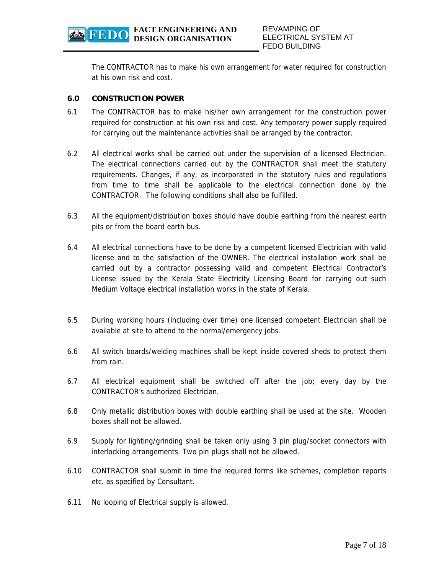The CONTRACTOR has to make his own arrangement for water required for construction at his own risk and cost.

## **6.0 CONSTRUCTION POWER**

- 6.1 The CONTRACTOR has to make his/her own arrangement for the construction power required for construction at his own risk and cost. Any temporary power supply required for carrying out the maintenance activities shall be arranged by the contractor.
- 6.2 All electrical works shall be carried out under the supervision of a licensed Electrician. The electrical connections carried out by the CONTRACTOR shall meet the statutory requirements. Changes, if any, as incorporated in the statutory rules and regulations from time to time shall be applicable to the electrical connection done by the CONTRACTOR. The following conditions shall also be fulfilled.
- 6.3 All the equipment/distribution boxes should have double earthing from the nearest earth pits or from the board earth bus.
- 6.4 All electrical connections have to be done by a competent licensed Electrician with valid license and to the satisfaction of the OWNER. The electrical installation work shall be carried out by a contractor possessing valid and competent Electrical Contractor's License issued by the Kerala State Electricity Licensing Board for carrying out such Medium Voltage electrical installation works in the state of Kerala.
- 6.5 During working hours (including over time) one licensed competent Electrician shall be available at site to attend to the normal/emergency jobs.
- 6.6 All switch boards/welding machines shall be kept inside covered sheds to protect them from rain.
- 6.7 All electrical equipment shall be switched off after the job; every day by the CONTRACTOR's authorized Electrician.
- 6.8 Only metallic distribution boxes with double earthing shall be used at the site. Wooden boxes shall not be allowed.
- 6.9 Supply for lighting/grinding shall be taken only using 3 pin plug/socket connectors with interlocking arrangements. Two pin plugs shall not be allowed.
- 6.10 CONTRACTOR shall submit in time the required forms like schemes, completion reports etc. as specified by Consultant.
- 6.11 No looping of Electrical supply is allowed.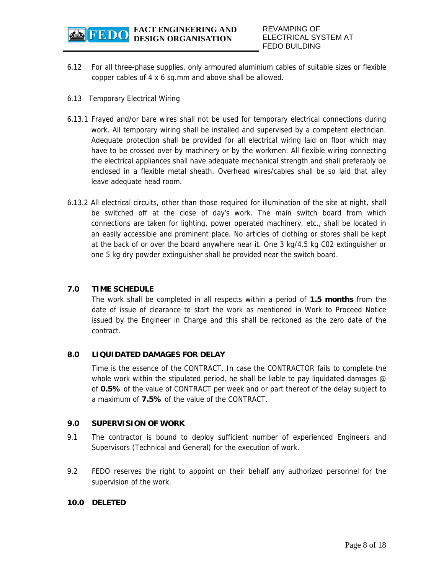

- 6.12 For all three-phase supplies, only armoured aluminium cables of suitable sizes or flexible copper cables of 4 x 6 sq.mm and above shall be allowed.
- 6.13 Temporary Electrical Wiring
- 6.13.1 Frayed and/or bare wires shall not be used for temporary electrical connections during work. All temporary wiring shall be installed and supervised by a competent electrician. Adequate protection shall be provided for all electrical wiring laid on floor which may have to be crossed over by machinery or by the workmen. All flexible wiring connecting the electrical appliances shall have adequate mechanical strength and shall preferably be enclosed in a flexible metal sheath. Overhead wires/cables shall be so laid that alley leave adequate head room.
- 6.13.2 All electrical circuits, other than those required for illumination of the site at night, shall be switched off at the close of day's work. The main switch board from which connections are taken for lighting, power operated machinery, etc., shall be located in an easily accessible and prominent place. No articles of clothing or stores shall be kept at the back of or over the board anywhere near it. One 3 kg/4.5 kg C02 extinguisher or one 5 kg dry powder extinguisher shall be provided near the switch board.

# **7.0 TIME SCHEDULE**

The work shall be completed in all respects within a period of **1.5 months** from the date of issue of clearance to start the work as mentioned in Work to Proceed Notice issued by the Engineer in Charge and this shall be reckoned as the zero date of the contract.

#### **8.0 LIQUIDATED DAMAGES FOR DELAY**

Time is the essence of the CONTRACT. In case the CONTRACTOR fails to complete the whole work within the stipulated period, he shall be liable to pay liquidated damages  $\varnothing$ of **0.5%** of the value of CONTRACT per week and or part thereof of the delay subject to a maximum of **7.5%** of the value of the CONTRACT.

#### **9.0 SUPERVISION OF WORK**

- 9.1 The contractor is bound to deploy sufficient number of experienced Engineers and Supervisors (Technical and General) for the execution of work.
- 9.2 FEDO reserves the right to appoint on their behalf any authorized personnel for the supervision of the work.

#### **10.0 DELETED**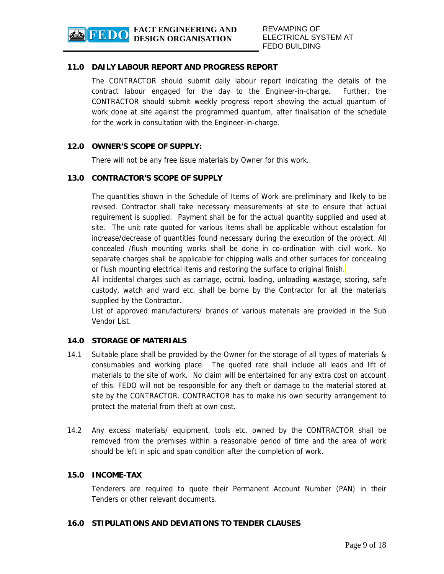# **11.0 DAILY LABOUR REPORT AND PROGRESS REPORT**

The CONTRACTOR should submit daily labour report indicating the details of the contract labour engaged for the day to the Engineer-in-charge. Further, the CONTRACTOR should submit weekly progress report showing the actual quantum of work done at site against the programmed quantum, after finalisation of the schedule for the work in consultation with the Engineer-in-charge.

# **12.0 OWNER'S SCOPE OF SUPPLY:**

There will not be any free issue materials by Owner for this work.

## **13.0 CONTRACTOR'S SCOPE OF SUPPLY**

 The quantities shown in the Schedule of Items of Work are preliminary and likely to be revised. Contractor shall take necessary measurements at site to ensure that actual requirement is supplied. Payment shall be for the actual quantity supplied and used at site. The unit rate quoted for various items shall be applicable without escalation for increase/decrease of quantities found necessary during the execution of the project. All concealed /flush mounting works shall be done in co-ordination with civil work. No separate charges shall be applicable for chipping walls and other surfaces for concealing or flush mounting electrical items and restoring the surface to original finish.

 All incidental charges such as carriage, octroi, loading, unloading wastage, storing, safe custody, watch and ward etc. shall be borne by the Contractor for all the materials supplied by the Contractor.

 List of approved manufacturers/ brands of various materials are provided in the Sub Vendor List.

# **14.0 STORAGE OF MATERIALS**

- 14.1 Suitable place shall be provided by the Owner for the storage of all types of materials & consumables and working place. The quoted rate shall include all leads and lift of materials to the site of work. No claim will be entertained for any extra cost on account of this. FEDO will not be responsible for any theft or damage to the material stored at site by the CONTRACTOR. CONTRACTOR has to make his own security arrangement to protect the material from theft at own cost.
- 14.2 Any excess materials/ equipment, tools etc. owned by the CONTRACTOR shall be removed from the premises within a reasonable period of time and the area of work should be left in spic and span condition after the completion of work.

#### **15.0 INCOME-TAX**

 Tenderers are required to quote their Permanent Account Number (PAN) in their Tenders or other relevant documents.

#### **16.0 STIPULATIONS AND DEVIATIONS TO TENDER CLAUSES**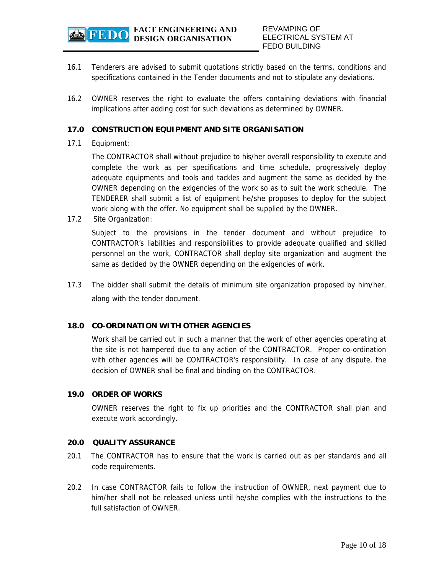

- 16.1 Tenderers are advised to submit quotations strictly based on the terms, conditions and specifications contained in the Tender documents and not to stipulate any deviations.
- 16.2 OWNER reserves the right to evaluate the offers containing deviations with financial implications after adding cost for such deviations as determined by OWNER.

### **17.0 CONSTRUCTION EQUIPMENT AND SITE ORGANISATION**

#### 17.1 Equipment:

The CONTRACTOR shall without prejudice to his/her overall responsibility to execute and complete the work as per specifications and time schedule, progressively deploy adequate equipments and tools and tackles and augment the same as decided by the OWNER depending on the exigencies of the work so as to suit the work schedule. The TENDERER shall submit a list of equipment he/she proposes to deploy for the subject work along with the offer. No equipment shall be supplied by the OWNER.

17.2 Site Organization:

Subject to the provisions in the tender document and without prejudice to CONTRACTOR's liabilities and responsibilities to provide adequate qualified and skilled personnel on the work, CONTRACTOR shall deploy site organization and augment the same as decided by the OWNER depending on the exigencies of work.

17.3 The bidder shall submit the details of minimum site organization proposed by him/her, along with the tender document.

#### **18.0 CO-ORDINATION WITH OTHER AGENCIES**

Work shall be carried out in such a manner that the work of other agencies operating at the site is not hampered due to any action of the CONTRACTOR. Proper co-ordination with other agencies will be CONTRACTOR's responsibility. In case of any dispute, the decision of OWNER shall be final and binding on the CONTRACTOR.

#### **19.0 ORDER OF WORKS**

 OWNER reserves the right to fix up priorities and the CONTRACTOR shall plan and execute work accordingly.

#### **20.0 QUALITY ASSURANCE**

- 20.1 The CONTRACTOR has to ensure that the work is carried out as per standards and all code requirements.
- 20.2 In case CONTRACTOR fails to follow the instruction of OWNER, next payment due to him/her shall not be released unless until he/she complies with the instructions to the full satisfaction of OWNER.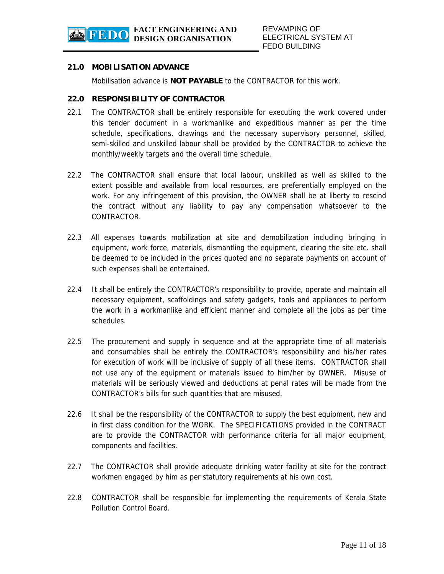### **21.0 MOBILISATION ADVANCE**

Mobilisation advance is **NOT PAYABLE** to the CONTRACTOR for this work.

#### **22.0 RESPONSIBILITY OF CONTRACTOR**

- 22.1 The CONTRACTOR shall be entirely responsible for executing the work covered under this tender document in a workmanlike and expeditious manner as per the time schedule, specifications, drawings and the necessary supervisory personnel, skilled, semi-skilled and unskilled labour shall be provided by the CONTRACTOR to achieve the monthly/weekly targets and the overall time schedule.
- 22.2 The CONTRACTOR shall ensure that local labour, unskilled as well as skilled to the extent possible and available from local resources, are preferentially employed on the work. For any infringement of this provision, the OWNER shall be at liberty to rescind the contract without any liability to pay any compensation whatsoever to the CONTRACTOR.
- 22.3 All expenses towards mobilization at site and demobilization including bringing in equipment, work force, materials, dismantling the equipment, clearing the site etc. shall be deemed to be included in the prices quoted and no separate payments on account of such expenses shall be entertained.
- 22.4 It shall be entirely the CONTRACTOR's responsibility to provide, operate and maintain all necessary equipment, scaffoldings and safety gadgets, tools and appliances to perform the work in a workmanlike and efficient manner and complete all the jobs as per time schedules.
- 22.5 The procurement and supply in sequence and at the appropriate time of all materials and consumables shall be entirely the CONTRACTOR's responsibility and his/her rates for execution of work will be inclusive of supply of all these items. CONTRACTOR shall not use any of the equipment or materials issued to him/her by OWNER. Misuse of materials will be seriously viewed and deductions at penal rates will be made from the CONTRACTOR's bills for such quantities that are misused.
- 22.6 It shall be the responsibility of the CONTRACTOR to supply the best equipment, new and in first class condition for the WORK. The SPECIFICATIONS provided in the CONTRACT are to provide the CONTRACTOR with performance criteria for all major equipment, components and facilities.
- 22.7 The CONTRACTOR shall provide adequate drinking water facility at site for the contract workmen engaged by him as per statutory requirements at his own cost.
- 22.8 CONTRACTOR shall be responsible for implementing the requirements of Kerala State Pollution Control Board.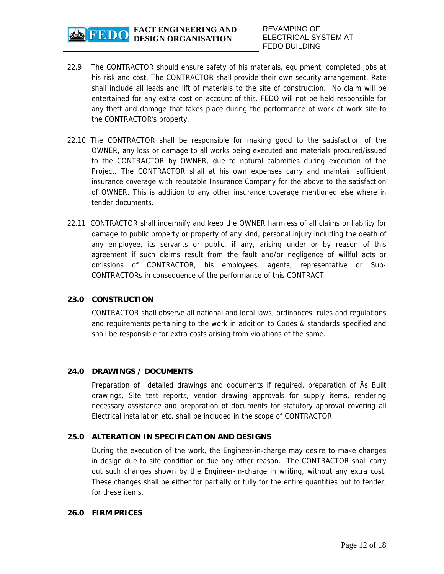

- 22.9 The CONTRACTOR should ensure safety of his materials, equipment, completed jobs at his risk and cost. The CONTRACTOR shall provide their own security arrangement. Rate shall include all leads and lift of materials to the site of construction. No claim will be entertained for any extra cost on account of this. FEDO will not be held responsible for any theft and damage that takes place during the performance of work at work site to the CONTRACTOR's property.
- 22.10 The CONTRACTOR shall be responsible for making good to the satisfaction of the OWNER, any loss or damage to all works being executed and materials procured/issued to the CONTRACTOR by OWNER, due to natural calamities during execution of the Project. The CONTRACTOR shall at his own expenses carry and maintain sufficient insurance coverage with reputable Insurance Company for the above to the satisfaction of OWNER. This is addition to any other insurance coverage mentioned else where in tender documents.
- 22.11 CONTRACTOR shall indemnify and keep the OWNER harmless of all claims or liability for damage to public property or property of any kind, personal injury including the death of any employee, its servants or public, if any, arising under or by reason of this agreement if such claims result from the fault and/or negligence of willful acts or omissions of CONTRACTOR, his employees, agents, representative or Sub-CONTRACTORs in consequence of the performance of this CONTRACT.

#### **23.0 CONSTRUCTION**

 CONTRACTOR shall observe all national and local laws, ordinances, rules and regulations and requirements pertaining to the work in addition to Codes & standards specified and shall be responsible for extra costs arising from violations of the same.

#### **24.0 DRAWINGS / DOCUMENTS**

Preparation of detailed drawings and documents if required, preparation of Äs Built drawings, Site test reports, vendor drawing approvals for supply items, rendering necessary assistance and preparation of documents for statutory approval covering all Electrical installation etc. shall be included in the scope of CONTRACTOR.

#### **25.0 ALTERATION IN SPECIFICATION AND DESIGNS**

 During the execution of the work, the Engineer-in-charge may desire to make changes in design due to site condition or due any other reason. The CONTRACTOR shall carry out such changes shown by the Engineer-in-charge in writing, without any extra cost. These changes shall be either for partially or fully for the entire quantities put to tender, for these items.

#### **26.0 FIRM PRICES**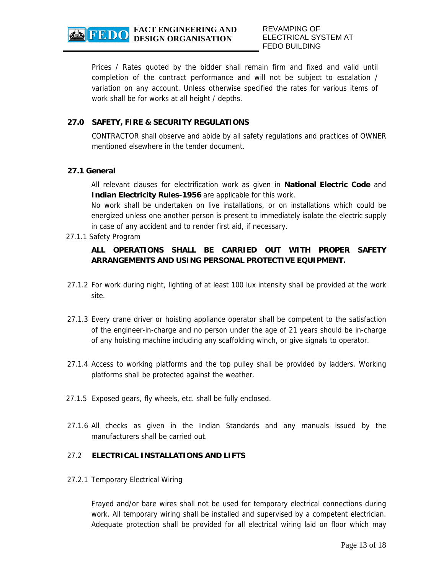REVAMPING OF ELECTRICAL SYSTEM AT FEDO BUILDING

Prices / Rates quoted by the bidder shall remain firm and fixed and valid until completion of the contract performance and will not be subject to escalation / variation on any account. Unless otherwise specified the rates for various items of work shall be for works at all height / depths.

## **27.0 SAFETY, FIRE & SECURITY REGULATIONS**

 CONTRACTOR shall observe and abide by all safety regulations and practices of OWNER mentioned elsewhere in the tender document.

#### **27.1 General**

All relevant clauses for electrification work as given in **National Electric Code** and **Indian Electricity Rules-1956** are applicable for this work.

No work shall be undertaken on live installations, or on installations which could be energized unless one another person is present to immediately isolate the electric supply in case of any accident and to render first aid, if necessary.

27.1.1 Safety Program

# **ALL OPERATIONS SHALL BE CARRIED OUT WITH PROPER SAFETY ARRANGEMENTS AND USING PERSONAL PROTECTIVE EQUIPMENT.**

- 27.1.2 For work during night, lighting of at least 100 lux intensity shall be provided at the work site.
- 27.1.3 Every crane driver or hoisting appliance operator shall be competent to the satisfaction of the engineer-in-charge and no person under the age of 21 years should be in-charge of any hoisting machine including any scaffolding winch, or give signals to operator.
- 27.1.4 Access to working platforms and the top pulley shall be provided by ladders. Working platforms shall be protected against the weather.
- 27.1.5 Exposed gears, fly wheels, etc. shall be fully enclosed.
- 27.1.6 All checks as given in the Indian Standards and any manuals issued by the manufacturers shall be carried out.

# 27.2 **ELECTRICAL INSTALLATIONS AND LIFTS**

27.2.1 Temporary Electrical Wiring

 Frayed and/or bare wires shall not be used for temporary electrical connections during work. All temporary wiring shall be installed and supervised by a competent electrician. Adequate protection shall be provided for all electrical wiring laid on floor which may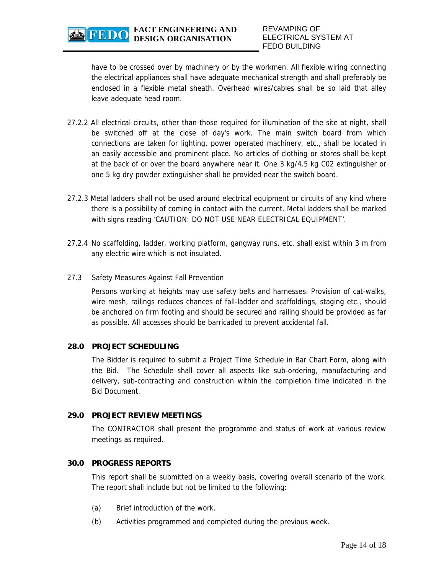REVAMPING OF ELECTRICAL SYSTEM AT FEDO BUILDING

have to be crossed over by machinery or by the workmen. All flexible wiring connecting the electrical appliances shall have adequate mechanical strength and shall preferably be enclosed in a flexible metal sheath. Overhead wires/cables shall be so laid that alley leave adequate head room.

- 27.2.2 All electrical circuits, other than those required for illumination of the site at night, shall be switched off at the close of day's work. The main switch board from which connections are taken for lighting, power operated machinery, etc., shall be located in an easily accessible and prominent place. No articles of clothing or stores shall be kept at the back of or over the board anywhere near it. One 3 kg/4.5 kg C02 extinguisher or one 5 kg dry powder extinguisher shall be provided near the switch board.
- 27.2.3 Metal ladders shall not be used around electrical equipment or circuits of any kind where there is a possibility of coming in contact with the current. Metal ladders shall be marked with signs reading 'CAUTION: DO NOT USE NEAR ELECTRICAL EQUIPMENT'.
- 27.2.4 No scaffolding, ladder, working platform, gangway runs, etc. shall exist within 3 m from any electric wire which is not insulated.
- 27.3 Safety Measures Against Fall Prevention

Persons working at heights may use safety belts and harnesses. Provision of cat-walks, wire mesh, railings reduces chances of fall-ladder and scaffoldings, staging etc., should be anchored on firm footing and should be secured and railing should be provided as far as possible. All accesses should be barricaded to prevent accidental fall.

#### **28.0 PROJECT SCHEDULING**

 The Bidder is required to submit a Project Time Schedule in Bar Chart Form, along with the Bid. The Schedule shall cover all aspects like sub-ordering, manufacturing and delivery, sub-contracting and construction within the completion time indicated in the Bid Document.

#### **29.0 PROJECT REVIEW MEETINGS**

The CONTRACTOR shall present the programme and status of work at various review meetings as required.

#### **30.0 PROGRESS REPORTS**

This report shall be submitted on a weekly basis, covering overall scenario of the work. The report shall include but not be limited to the following:

- (a) Brief introduction of the work.
- (b) Activities programmed and completed during the previous week.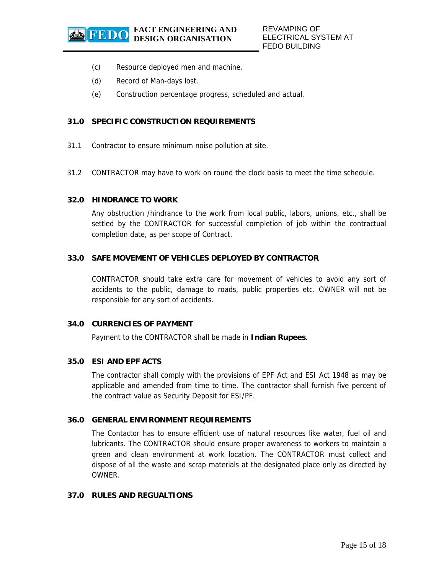- (c) Resource deployed men and machine.
- (d) Record of Man-days lost.
- (e) Construction percentage progress, scheduled and actual.

## **31.0 SPECIFIC CONSTRUCTION REQUIREMENTS**

- 31.1 Contractor to ensure minimum noise pollution at site.
- 31.2 CONTRACTOR may have to work on round the clock basis to meet the time schedule.

#### **32.0 HINDRANCE TO WORK**

 Any obstruction /hindrance to the work from local public, labors, unions, etc., shall be settled by the CONTRACTOR for successful completion of job within the contractual completion date, as per scope of Contract.

#### **33.0 SAFE MOVEMENT OF VEHICLES DEPLOYED BY CONTRACTOR**

 CONTRACTOR should take extra care for movement of vehicles to avoid any sort of accidents to the public, damage to roads, public properties etc. OWNER will not be responsible for any sort of accidents.

#### **34.0 CURRENCIES OF PAYMENT**

Payment to the CONTRACTOR shall be made in **Indian Rupees**.

#### **35.0 ESI AND EPF ACTS**

The contractor shall comply with the provisions of EPF Act and ESI Act 1948 as may be applicable and amended from time to time. The contractor shall furnish five percent of the contract value as Security Deposit for ESI/PF.

#### **36.0 GENERAL ENVIRONMENT REQUIREMENTS**

 The Contactor has to ensure efficient use of natural resources like water, fuel oil and lubricants. The CONTRACTOR should ensure proper awareness to workers to maintain a green and clean environment at work location. The CONTRACTOR must collect and dispose of all the waste and scrap materials at the designated place only as directed by OWNER.

## **37.0 RULES AND REGUALTIONS**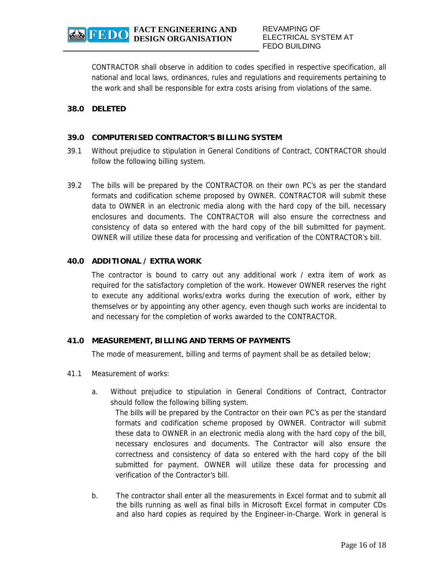REVAMPING OF ELECTRICAL SYSTEM AT FEDO BUILDING

CONTRACTOR shall observe in addition to codes specified in respective specification, all national and local laws, ordinances, rules and regulations and requirements pertaining to the work and shall be responsible for extra costs arising from violations of the same.

#### **38.0 DELETED**

#### **39.0 COMPUTERISED CONTRACTOR'S BILLING SYSTEM**

- 39.1 Without prejudice to stipulation in General Conditions of Contract, CONTRACTOR should follow the following billing system.
- 39.2 The bills will be prepared by the CONTRACTOR on their own PC's as per the standard formats and codification scheme proposed by OWNER. CONTRACTOR will submit these data to OWNER in an electronic media along with the hard copy of the bill, necessary enclosures and documents. The CONTRACTOR will also ensure the correctness and consistency of data so entered with the hard copy of the bill submitted for payment. OWNER will utilize these data for processing and verification of the CONTRACTOR's bill.

#### **40.0 ADDITIONAL / EXTRA WORK**

 The contractor is bound to carry out any additional work / extra item of work as required for the satisfactory completion of the work. However OWNER reserves the right to execute any additional works/extra works during the execution of work, either by themselves or by appointing any other agency, even though such works are incidental to and necessary for the completion of works awarded to the CONTRACTOR.

#### **41.0 MEASUREMENT, BILLING AND TERMS OF PAYMENTS**

The mode of measurement, billing and terms of payment shall be as detailed below;

- 41.1 Measurement of works:
	- a. Without prejudice to stipulation in General Conditions of Contract, Contractor should follow the following billing system.

The bills will be prepared by the Contractor on their own PC's as per the standard formats and codification scheme proposed by OWNER. Contractor will submit these data to OWNER in an electronic media along with the hard copy of the bill, necessary enclosures and documents. The Contractor will also ensure the correctness and consistency of data so entered with the hard copy of the bill submitted for payment. OWNER will utilize these data for processing and verification of the Contractor's bill.

b. The contractor shall enter all the measurements in Excel format and to submit all the bills running as well as final bills in Microsoft Excel format in computer CDs and also hard copies as required by the Engineer-in-Charge. Work in general is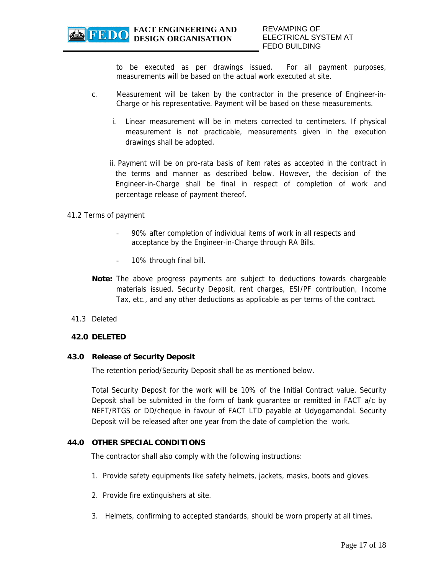to be executed as per drawings issued. For all payment purposes, measurements will be based on the actual work executed at site.

- c. Measurement will be taken by the contractor in the presence of Engineer-in-Charge or his representative. Payment will be based on these measurements.
	- i. Linear measurement will be in meters corrected to centimeters. If physical measurement is not practicable, measurements given in the execution drawings shall be adopted.
	- ii. Payment will be on pro-rata basis of item rates as accepted in the contract in the terms and manner as described below. However, the decision of the Engineer-in-Charge shall be final in respect of completion of work and percentage release of payment thereof.

#### 41.2 Terms of payment

- 90% after completion of individual items of work in all respects and acceptance by the Engineer-in-Charge through RA Bills.
- 10% through final bill.
- **Note:** The above progress payments are subject to deductions towards chargeable materials issued, Security Deposit, rent charges, ESI/PF contribution, Income Tax, etc., and any other deductions as applicable as per terms of the contract.
- 41.3 Deleted

#### **42.0 DELETED**

#### **43.0 Release of Security Deposit**

The retention period/Security Deposit shall be as mentioned below.

Total Security Deposit for the work will be 10% of the Initial Contract value. Security Deposit shall be submitted in the form of bank guarantee or remitted in FACT a/c by NEFT/RTGS or DD/cheque in favour of FACT LTD payable at Udyogamandal. Security Deposit will be released after one year from the date of completion the work.

#### **44.0 OTHER SPECIAL CONDITIONS**

The contractor shall also comply with the following instructions:

- 1. Provide safety equipments like safety helmets, jackets, masks, boots and gloves.
- 2. Provide fire extinguishers at site.
- 3. Helmets, confirming to accepted standards, should be worn properly at all times.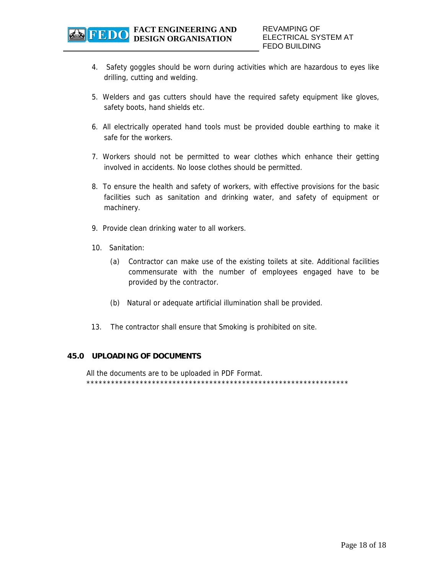

- 4. Safety goggles should be worn during activities which are hazardous to eyes like drilling, cutting and welding.
- 5. Welders and gas cutters should have the required safety equipment like gloves, safety boots, hand shields etc.
- 6. All electrically operated hand tools must be provided double earthing to make it safe for the workers.
- 7. Workers should not be permitted to wear clothes which enhance their getting involved in accidents. No loose clothes should be permitted.
- 8. To ensure the health and safety of workers, with effective provisions for the basic facilities such as sanitation and drinking water, and safety of equipment or machinery.
- 9. Provide clean drinking water to all workers.
- 10. Sanitation:
	- (a) Contractor can make use of the existing toilets at site. Additional facilities commensurate with the number of employees engaged have to be provided by the contractor.
	- (b) Natural or adequate artificial illumination shall be provided.
- 13. The contractor shall ensure that Smoking is prohibited on site.

#### **45.0 UPLOADING OF DOCUMENTS**

All the documents are to be uploaded in PDF Format. \*\*\*\*\*\*\*\*\*\*\*\*\*\*\*\*\*\*\*\*\*\*\*\*\*\*\*\*\*\*\*\*\*\*\*\*\*\*\*\*\*\*\*\*\*\*\*\*\*\*\*\*\*\*\*\*\*\*\*\*\*\*\*\*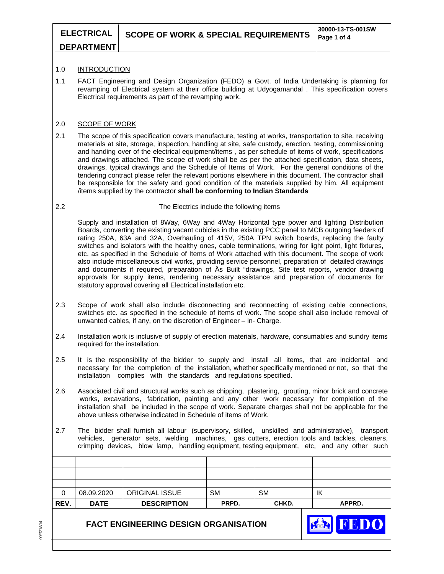FEDO

# **DEPARTMENT**

#### 1.0 INTRODUCTION

1.1 FACT Engineering and Design Organization (FEDO) a Govt. of India Undertaking is planning for revamping of Electrical system at their office building at Udyogamandal . This specification covers Electrical requirements as part of the revamping work.

#### 2.0 SCOPE OF WORK

2.1 The scope of this specification covers manufacture, testing at works, transportation to site, receiving materials at site, storage, inspection, handling at site, safe custody, erection, testing, commissioning and handing over of the electrical equipment/items , as per schedule of items of work, specifications and drawings attached. The scope of work shall be as per the attached specification, data sheets, drawings, typical drawings and the Schedule of Items of Work. For the general conditions of the tendering contract please refer the relevant portions elsewhere in this document. The contractor shall be responsible for the safety and good condition of the materials supplied by him. All equipment /items supplied by the contractor **shall be conforming to Indian Standards**

#### 2.2 The Electrics include the following items

Supply and installation of 8Way, 6Way and 4Way Horizontal type power and lighting Distribution Boards, converting the existing vacant cubicles in the existing PCC panel to MCB outgoing feeders of rating 250A, 63A and 32A, Overhauling of 415V, 250A TPN switch boards, replacing the faulty switches and isolators with the healthy ones, cable terminations, wiring for light point, light fixtures, etc. as specified in the Schedule of Items of Work attached with this document. The scope of work also include miscellaneous civil works, providing service personnel, preparation of detailed drawings and documents if required, preparation of Äs Built "drawings, Site test reports, vendor drawing approvals for supply items, rendering necessary assistance and preparation of documents for statutory approval covering all Electrical installation etc.

- 2.3 Scope of work shall also include disconnecting and reconnecting of existing cable connections, switches etc. as specified in the schedule of items of work. The scope shall also include removal of unwanted cables, if any, on the discretion of Engineer – in- Charge.
- 2.4 Installation work is inclusive of supply of erection materials, hardware, consumables and sundry items required for the installation.
- 2.5 It is the responsibility of the bidder to supply and install all items, that are incidental and necessary for the completion of the installation, whether specifically mentioned or not, so that the installation complies with the standards and regulations specified.
- 2.6 Associated civil and structural works such as chipping, plastering, grouting, minor brick and concrete works, excavations, fabrication, painting and any other work necessary for completion of the installation shall be included in the scope of work. Separate charges shall not be applicable for the above unless otherwise indicated in Schedule of items of Work.
- 2.7 The bidder shall furnish all labour (supervisory, skilled, unskilled and administrative), transport vehicles, generator sets, welding machines, gas cutters, erection tools and tackles, cleaners, crimping devices, blow lamp, handling equipment, testing equipment, etc, and any other such

| REV. | <b>DATE</b> | <b>DESCRIPTION</b>    | PRPD.     | CHKD. | APPRD. |
|------|-------------|-----------------------|-----------|-------|--------|
| 0    | 08.09.2020  | <b>ORIGINAL ISSUE</b> | <b>SM</b> | SM    | ΙK     |
|      |             |                       |           |       |        |
|      |             |                       |           |       |        |
|      |             |                       |           |       |        |

# **FACT ENGINEERING DESIGN ORGANISATION**

00F121A/14 00F121A/14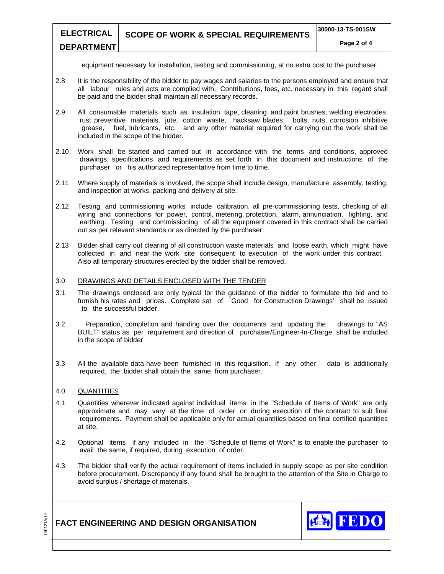#### **Page 2 of 4**

equipment necessary for installation, testing and commissioning, at no extra cost to the purchaser.

- 2.8 It is the responsibility of the bidder to pay wages and salaries to the persons employed and ensure that all labour rules and acts are complied with. Contributions, fees, etc. necessary in this regard shall be paid and the bidder shall maintain all necessary records.
- 2.9 All consumable materials such as insulation tape, cleaning and paint brushes, welding electrodes, rust preventive materials, jute, cotton waste, hacksaw blades, bolts, nuts, corrosion inhibitive grease, fuel, lubricants, etc. and any other material required for carrying out the work shall be included in the scope of the bidder.
- 2.10 Work shall be started and carried out in accordance with the terms and conditions, approved drawings, specifications and requirements as set forth in this document and instructions of the purchaser or his authorized representative from time to time.
- 2.11 Where supply of materials is involved, the scope shall include design, manufacture, assembly, testing, and inspection at works, packing and delivery at site.
- 2.12 Testing and commissioning works include calibration, all pre-commissioning tests, checking of all wiring and connections for power, control, metering, protection, alarm, annunciation, lighting, and earthing. Testing and commissioning of all the equipment covered in this contract shall be carried out as per relevant standards or as directed by the purchaser.
- 2.13 Bidder shall carry out clearing of all construction waste materials and loose earth, which might have collected in and near the work site consequent to execution of the work under this contract. Also all temporary structures erected by the bidder shall be removed.

#### 3.0 DRAWINGS AND DETAILS ENCLOSED WITH THE TENDER

- 3.1 The drawings enclosed are only typical for the guidance of the bidder to formulate the bid and to furnish his rates and prices. Complete set of `Good for Construction Drawings' shall be issued to the successful bidder.
- 3.2 Preparation, completion and handing over the documents and updating the drawings to "AS BUILT" status as per requirement and direction of purchaser/Engineer-In-Charge shall be included in the scope of bidder
- 3.3 All the available data have been furnished in this requisition. If any other data is additionally required, the bidder shall obtain the same from purchaser.

#### 4.0 QUANTITIES

- 4.1 Quantities wherever indicated against individual items in the "Schedule of Items of Work" are only approximate and may vary at the time of order or during execution of the contract to suit final requirements. Payment shall be applicable only for actual quantities based on final certified quantities at site.
- 4.2 Optional items if any included in the "Schedule of Items of Work" is to enable the purchaser to avail the same, if required, during execution of order.
- 4.3 The bidder shall verify the actual requirement of items included in supply scope as per site condition before procurement. Discrepancy if any found shall be brought to the attention of the Site in Charge to avoid surplus / shortage of materials.

# **FACT ENGINEERING AND DESIGN ORGANISATION**

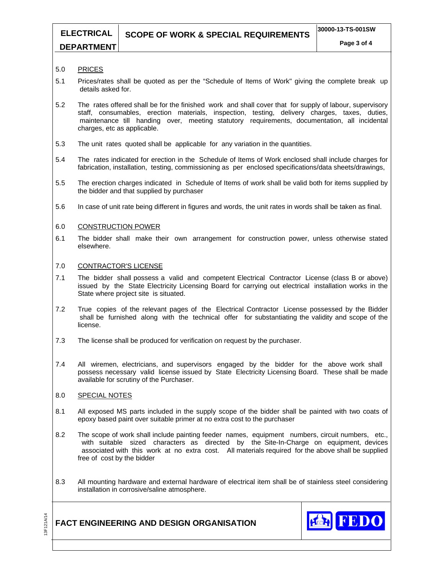# **SCOPE OF WORK & SPECIAL REQUIREMENTS 30000-13-TS-001SW**

# **DEPARTMENT**

**ELECTRICAL** 

#### 5.0 PRICES

- 5.1 Prices/rates shall be quoted as per the "Schedule of Items of Work" giving the complete break up details asked for.
- 5.2 The rates offered shall be for the finished work and shall cover that for supply of labour, supervisory staff, consumables, erection materials, inspection, testing, delivery charges, taxes, duties, maintenance till handing over, meeting statutory requirements, documentation, all incidental charges, etc as applicable.
- 5.3 The unit rates quoted shall be applicable for any variation in the quantities.
- 5.4 The rates indicated for erection in the Schedule of Items of Work enclosed shall include charges for fabrication, installation, testing, commissioning as per enclosed specifications/data sheets/drawings,
- 5.5 The erection charges indicated in Schedule of Items of work shall be valid both for items supplied by the bidder and that supplied by purchaser
- 5.6 In case of unit rate being different in figures and words, the unit rates in words shall be taken as final.

#### 6.0 CONSTRUCTION POWER

6.1 The bidder shall make their own arrangement for construction power, unless otherwise stated elsewhere.

#### 7.0 CONTRACTOR'S LICENSE

- 7.1 The bidder shall possess a valid and competent Electrical Contractor License (class B or above) issued by the State Electricity Licensing Board for carrying out electrical installation works in the State where project site is situated.
- 7.2 True copies of the relevant pages of the Electrical Contractor License possessed by the Bidder shall be furnished along with the technical offer for substantiating the validity and scope of the license.
- 7.3 The license shall be produced for verification on request by the purchaser.
- 7.4 All wiremen, electricians, and supervisors engaged by the bidder for the above work shall possess necessary valid license issued by State Electricity Licensing Board. These shall be made available for scrutiny of the Purchaser.

#### 8.0 SPECIAL NOTES

- 8.1 All exposed MS parts included in the supply scope of the bidder shall be painted with two coats of epoxy based paint over suitable primer at no extra cost to the purchaser
- 8.2 The scope of work shall include painting feeder names, equipment numbers, circuit numbers, etc., with suitable sized characters as directed by the Site-In-Charge on equipment, devices associated with this work at no extra cost. All materials required for the above shall be supplied free of cost by the bidder
- 8.3 All mounting hardware and external hardware of electrical item shall be of stainless steel considering installation in corrosive/saline atmosphere.



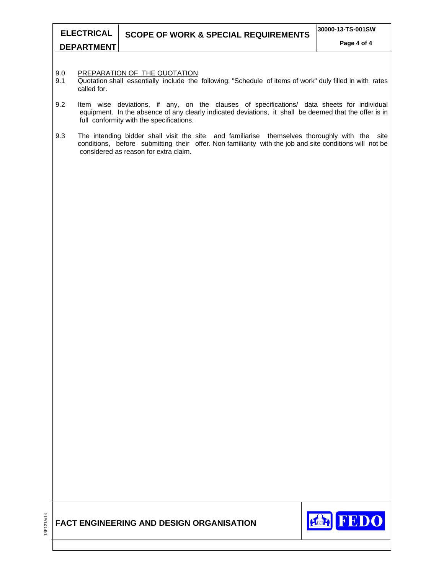- 9.0 PREPARATION OF THE QUOTATION<br>9.1 Quotation shall essentially include the
- Quotation shall essentially include the following: "Schedule of items of work" duly filled in with rates called for.
- 9.2 Item wise deviations, if any, on the clauses of specifications/ data sheets for individual equipment. In the absence of any clearly indicated deviations, it shall be deemed that the offer is in full conformity with the specifications.
- 9.3 The intending bidder shall visit the site and familiarise themselves thoroughly with the site conditions, before submitting their offer. Non familiarity with the job and site conditions will not be considered as reason for extra claim.



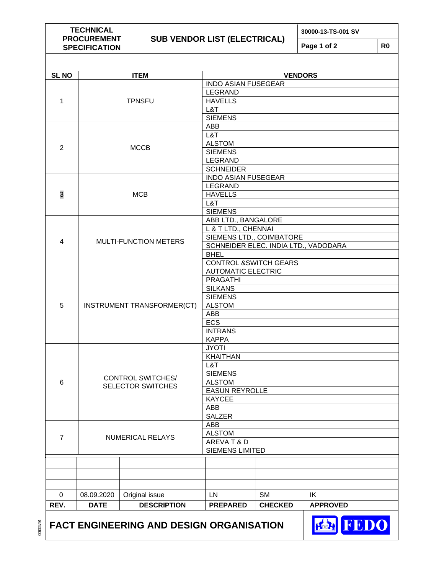**TECHNICAL PROCUREMENT SPECIFICATION** 

# **SUB VENDOR LIST (ELECTRICAL)**

**30000-13-TS-001 SV** 

**Page 1 of 2 R0** 

| <b>SL NO</b>   |             | <b>ITEM</b>                                     |                                  | <b>VENDORS</b>                       |                 |  |
|----------------|-------------|-------------------------------------------------|----------------------------------|--------------------------------------|-----------------|--|
|                |             |                                                 | <b>INDO ASIAN FUSEGEAR</b>       |                                      |                 |  |
|                |             |                                                 | <b>LEGRAND</b>                   |                                      |                 |  |
| 1              |             | <b>TPNSFU</b>                                   | <b>HAVELLS</b>                   |                                      |                 |  |
|                |             |                                                 | L&T                              |                                      |                 |  |
|                |             |                                                 | <b>SIEMENS</b>                   |                                      |                 |  |
|                |             |                                                 | ABB                              |                                      |                 |  |
|                |             |                                                 | L&T                              |                                      |                 |  |
|                |             |                                                 | <b>ALSTOM</b>                    |                                      |                 |  |
| $\overline{2}$ |             | <b>MCCB</b>                                     | <b>SIEMENS</b>                   |                                      |                 |  |
|                |             |                                                 | LEGRAND                          |                                      |                 |  |
|                |             |                                                 | <b>SCHNEIDER</b>                 |                                      |                 |  |
|                |             |                                                 | <b>INDO ASIAN FUSEGEAR</b>       |                                      |                 |  |
|                |             |                                                 | LEGRAND                          |                                      |                 |  |
| 3              |             | <b>MCB</b>                                      | <b>HAVELLS</b>                   |                                      |                 |  |
|                |             |                                                 | L&T                              |                                      |                 |  |
|                |             |                                                 | <b>SIEMENS</b>                   |                                      |                 |  |
|                |             |                                                 | ABB LTD., BANGALORE              |                                      |                 |  |
|                |             |                                                 | L & T LTD., CHENNAI              |                                      |                 |  |
|                |             |                                                 | SIEMENS LTD., COIMBATORE         |                                      |                 |  |
| $\overline{4}$ |             | <b>MULTI-FUNCTION METERS</b>                    |                                  | SCHNEIDER ELEC. INDIA LTD., VADODARA |                 |  |
|                |             |                                                 | <b>BHEL</b>                      |                                      |                 |  |
|                |             |                                                 | <b>CONTROL &amp;SWITCH GEARS</b> |                                      |                 |  |
|                |             |                                                 | <b>AUTOMATIC ELECTRIC</b>        |                                      |                 |  |
|                |             |                                                 | <b>PRAGATHI</b>                  |                                      |                 |  |
|                |             |                                                 |                                  | <b>SILKANS</b>                       |                 |  |
|                |             |                                                 | <b>SIEMENS</b>                   |                                      |                 |  |
| 5              |             | INSTRUMENT TRANSFORMER(CT)                      | <b>ALSTOM</b>                    |                                      |                 |  |
|                |             |                                                 | ABB                              |                                      |                 |  |
|                |             |                                                 | <b>ECS</b>                       |                                      |                 |  |
|                |             |                                                 | <b>INTRANS</b>                   |                                      |                 |  |
|                |             |                                                 | <b>KAPPA</b>                     |                                      |                 |  |
|                |             |                                                 | <b>JYOTI</b>                     |                                      |                 |  |
|                |             |                                                 | <b>KHAITHAN</b>                  |                                      |                 |  |
|                |             |                                                 |                                  | L&T                                  |                 |  |
|                |             |                                                 | <b>SIEMENS</b>                   |                                      |                 |  |
| 6              |             | <b>CONTROL SWITCHES/</b>                        |                                  | <b>ALSTOM</b>                        |                 |  |
|                |             | SELECTOR SWITCHES                               | <b>EASUN REYROLLE</b>            |                                      |                 |  |
|                |             |                                                 | <b>KAYCEE</b>                    |                                      |                 |  |
|                |             |                                                 | ABB                              |                                      |                 |  |
|                |             |                                                 | <b>SALZER</b>                    |                                      |                 |  |
|                |             |                                                 | ABB                              |                                      |                 |  |
|                |             |                                                 | <b>ALSTOM</b>                    |                                      |                 |  |
| $\overline{7}$ |             | <b>NUMERICAL RELAYS</b>                         | AREVAT&D                         |                                      |                 |  |
|                |             |                                                 | <b>SIEMENS LIMITED</b>           |                                      |                 |  |
|                |             |                                                 |                                  |                                      |                 |  |
|                |             |                                                 |                                  |                                      |                 |  |
|                |             |                                                 |                                  |                                      |                 |  |
|                |             |                                                 |                                  |                                      |                 |  |
| 0              | 08.09.2020  | Original issue                                  | LN                               | <b>SM</b>                            | IK              |  |
| REV.           | <b>DATE</b> | <b>DESCRIPTION</b>                              | <b>PREPARED</b>                  | <b>CHECKED</b>                       | <b>APPROVED</b> |  |
|                |             |                                                 |                                  |                                      |                 |  |
|                |             | <b>FACT ENGINEERING AND DESIGN ORGANISATION</b> |                                  |                                      | <b>FEDO</b>     |  |

00ft024/94 00ft024/94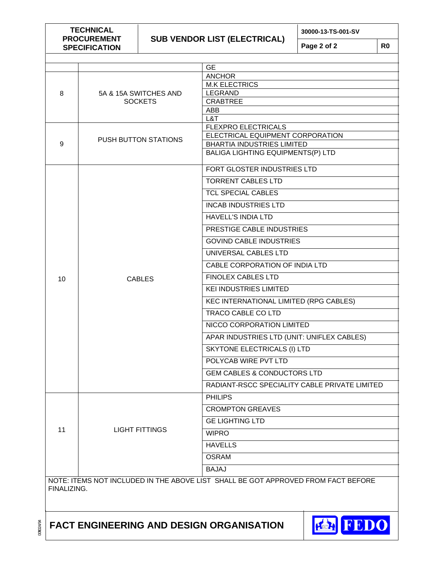**TECHNICAL PROCUREMENT SPECIFICATION** 

# **SUB VENDOR LIST (ELECTRICAL)**

**30000-13-TS-001-SV** 

**Page 2 of 2 R0** 

|             |                             | <b>GE</b>                                                                         |  |  |
|-------------|-----------------------------|-----------------------------------------------------------------------------------|--|--|
|             |                             | <b>ANCHOR</b>                                                                     |  |  |
|             |                             | <b>M.K ELECTRICS</b>                                                              |  |  |
| 8           | 5A & 15A SWITCHES AND       | <b>LEGRAND</b>                                                                    |  |  |
|             | <b>SOCKETS</b>              | <b>CRABTREE</b><br>ABB                                                            |  |  |
|             |                             | L&T                                                                               |  |  |
|             |                             | <b>FLEXPRO ELECTRICALS</b>                                                        |  |  |
|             | <b>PUSH BUTTON STATIONS</b> | ELECTRICAL EQUIPMENT CORPORATION                                                  |  |  |
| 9           |                             | <b>BHARTIA INDUSTRIES LIMITED</b><br>BALIGA LIGHTING EQUIPMENTS(P) LTD            |  |  |
|             |                             |                                                                                   |  |  |
|             |                             | FORT GLOSTER INDUSTRIES LTD                                                       |  |  |
|             |                             | <b>TORRENT CABLES LTD</b>                                                         |  |  |
|             |                             | <b>TCL SPECIAL CABLES</b>                                                         |  |  |
|             |                             | <b>INCAB INDUSTRIES LTD</b>                                                       |  |  |
|             |                             | <b>HAVELL'S INDIA LTD</b>                                                         |  |  |
|             |                             | PRESTIGE CABLE INDUSTRIES                                                         |  |  |
|             |                             | <b>GOVIND CABLE INDUSTRIES</b>                                                    |  |  |
|             |                             | UNIVERSAL CABLES LTD                                                              |  |  |
|             |                             | CABLE CORPORATION OF INDIA LTD                                                    |  |  |
| 10          | <b>CABLES</b>               | <b>FINOLEX CABLES LTD</b>                                                         |  |  |
|             |                             | <b>KEI INDUSTRIES LIMITED</b>                                                     |  |  |
|             |                             | KEC INTERNATIONAL LIMITED (RPG CABLES)                                            |  |  |
|             |                             | TRACO CABLE CO LTD                                                                |  |  |
|             |                             | NICCO CORPORATION LIMITED                                                         |  |  |
|             |                             | APAR INDUSTRIES LTD (UNIT: UNIFLEX CABLES)                                        |  |  |
|             |                             | SKYTONE ELECTRICALS (I) LTD                                                       |  |  |
|             |                             | POLYCAB WIRE PVT LTD                                                              |  |  |
|             |                             | <b>GEM CABLES &amp; CONDUCTORS LTD</b>                                            |  |  |
|             |                             | RADIANT-RSCC SPECIALITY CABLE PRIVATE LIMITED                                     |  |  |
|             |                             | <b>PHILIPS</b>                                                                    |  |  |
|             |                             | <b>CROMPTON GREAVES</b>                                                           |  |  |
|             |                             | <b>GE LIGHTING LTD</b>                                                            |  |  |
| 11          | <b>LIGHT FITTINGS</b>       | <b>WIPRO</b>                                                                      |  |  |
|             |                             | <b>HAVELLS</b>                                                                    |  |  |
|             |                             | <b>OSRAM</b>                                                                      |  |  |
|             |                             | <b>BAJAJ</b>                                                                      |  |  |
|             |                             | NOTE: ITEMS NOT INCLUDED IN THE ABOVE LIST SHALL BE GOT APPROVED FROM FACT BEFORE |  |  |
| FINALIZING. |                             |                                                                                   |  |  |

# **FACT ENGINEERING AND DESIGN ORGANISATION**



00ft024/94 00ft024/94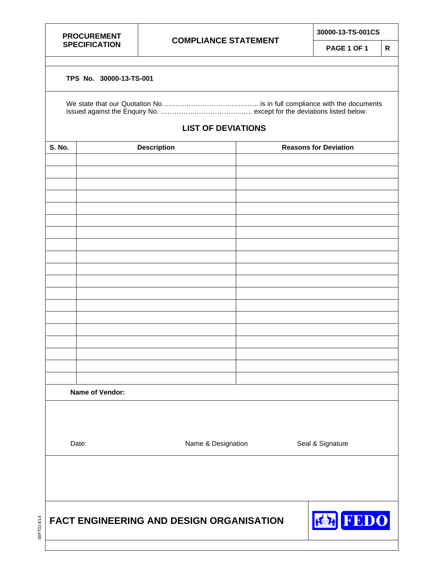00FT014/14

00FT014/14

# **COMPLIANCE STATEMENT**

**30000-13-TS-001CS** 

**PAGE 1 OF 1 R** 

#### **TPS No. 30000-13-TS-001**

# **LIST OF DEVIATIONS**

| S. No.                      | <b>Description</b>                                             |                  | <b>Reasons for Deviation</b> |  |
|-----------------------------|----------------------------------------------------------------|------------------|------------------------------|--|
|                             |                                                                |                  |                              |  |
|                             |                                                                |                  |                              |  |
|                             |                                                                |                  |                              |  |
|                             |                                                                |                  |                              |  |
|                             |                                                                |                  |                              |  |
|                             |                                                                |                  |                              |  |
|                             |                                                                |                  |                              |  |
|                             |                                                                |                  |                              |  |
|                             |                                                                |                  |                              |  |
|                             |                                                                |                  |                              |  |
|                             |                                                                |                  |                              |  |
|                             |                                                                |                  |                              |  |
|                             |                                                                |                  |                              |  |
|                             |                                                                |                  |                              |  |
|                             |                                                                |                  |                              |  |
|                             |                                                                |                  |                              |  |
|                             |                                                                |                  |                              |  |
|                             |                                                                |                  |                              |  |
|                             |                                                                |                  |                              |  |
| Name of Vendor:             |                                                                |                  |                              |  |
| Name & Designation<br>Date: |                                                                | Seal & Signature |                              |  |
|                             |                                                                |                  |                              |  |
|                             | FEDO<br>KRI<br><b>FACT ENGINEERING AND DESIGN ORGANISATION</b> |                  |                              |  |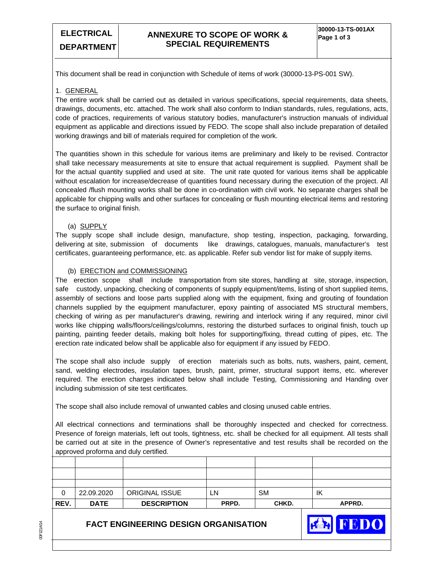FEDO

This document shall be read in conjunction with Schedule of items of work (30000-13-PS-001 SW).

#### 1. GENERAL

The entire work shall be carried out as detailed in various specifications, special requirements, data sheets, drawings, documents, etc. attached. The work shall also conform to Indian standards, rules, regulations, acts, code of practices, requirements of various statutory bodies, manufacturer's instruction manuals of individual equipment as applicable and directions issued by FEDO. The scope shall also include preparation of detailed working drawings and bill of materials required for completion of the work.

The quantities shown in this schedule for various items are preliminary and likely to be revised. Contractor shall take necessary measurements at site to ensure that actual requirement is supplied. Payment shall be for the actual quantity supplied and used at site. The unit rate quoted for various items shall be applicable without escalation for increase/decrease of quantities found necessary during the execution of the project. All concealed /flush mounting works shall be done in co-ordination with civil work. No separate charges shall be applicable for chipping walls and other surfaces for concealing or flush mounting electrical items and restoring the surface to original finish.

#### (a) SUPPLY

The supply scope shall include design, manufacture, shop testing, inspection, packaging, forwarding, delivering at site, submission of documents like drawings, catalogues, manuals, manufacturer's test certificates, guaranteeing performance, etc. as applicable. Refer sub vendor list for make of supply items.

#### (b) ERECTION and COMMISSIONING

The erection scope shall include transportation from site stores, handling at site, storage, inspection, safe custody, unpacking, checking of components of supply equipment/items, listing of short supplied items, assembly of sections and loose parts supplied along with the equipment, fixing and grouting of foundation channels supplied by the equipment manufacturer, epoxy painting of associated MS structural members, checking of wiring as per manufacturer's drawing, rewiring and interlock wiring if any required, minor civil works like chipping walls/floors/ceilings/columns, restoring the disturbed surfaces to original finish, touch up painting, painting feeder details, making bolt holes for supporting/fixing, thread cutting of pipes, etc. The erection rate indicated below shall be applicable also for equipment if any issued by FEDO.

The scope shall also include supply of erection materials such as bolts, nuts, washers, paint, cement, sand, welding electrodes, insulation tapes, brush, paint, primer, structural support items, etc. wherever required. The erection charges indicated below shall include Testing, Commissioning and Handing over including submission of site test certificates.

The scope shall also include removal of unwanted cables and closing unused cable entries.

All electrical connections and terminations shall be thoroughly inspected and checked for correctness. Presence of foreign materials, left out tools, tightness, etc. shall be checked for all equipment. All tests shall be carried out at site in the presence of Owner's representative and test results shall be recorded on the approved proforma and duly certified.

| REV. | <b>DATE</b> | <b>DESCRIPTION</b> | PRPD. | CHKD.     | APPRD. |
|------|-------------|--------------------|-------|-----------|--------|
| 0    | 22.09.2020  | ORIGINAL ISSUE     | LN    | <b>SM</b> | ΙK     |
|      |             |                    |       |           |        |
|      |             |                    |       |           |        |
|      |             |                    |       |           |        |

# **FACT ENGINEERING DESIGN ORGANISATION**

00F121A/14 00F121A/14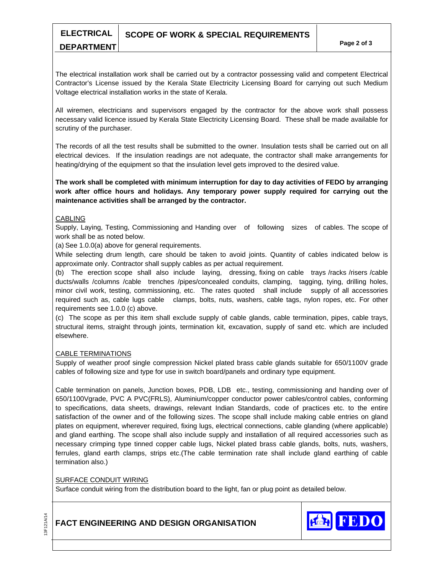# **SCOPE OF WORK & SPECIAL REQUIREMENTS**

The electrical installation work shall be carried out by a contractor possessing valid and competent Electrical Contractor's License issued by the Kerala State Electricity Licensing Board for carrying out such Medium Voltage electrical installation works in the state of Kerala.

All wiremen, electricians and supervisors engaged by the contractor for the above work shall possess necessary valid licence issued by Kerala State Electricity Licensing Board. These shall be made available for scrutiny of the purchaser.

The records of all the test results shall be submitted to the owner. Insulation tests shall be carried out on all electrical devices. If the insulation readings are not adequate, the contractor shall make arrangements for heating/drying of the equipment so that the insulation level gets improved to the desired value.

**The work shall be completed with minimum interruption for day to day activities of FEDO by arranging work after office hours and holidays. Any temporary power supply required for carrying out the maintenance activities shall be arranged by the contractor.** 

#### **CABLING**

**ELECTRICAL DEPARTMENT** 

Supply, Laying, Testing, Commissioning and Handing over of following sizes of cables. The scope of work shall be as noted below.

(a) See 1.0.0(a) above for general requirements.

While selecting drum length, care should be taken to avoid joints. Quantity of cables indicated below is approximate only. Contractor shall supply cables as per actual requirement.

(b) The erection scope shall also include laying, dressing, fixing on cable trays /racks /risers /cable ducts/walls /columns /cable trenches /pipes/concealed conduits, clamping, tagging, tying, drilling holes, minor civil work, testing, commissioning, etc. The rates quoted shall include supply of all accessories required such as, cable lugs cable clamps, bolts, nuts, washers, cable tags, nylon ropes, etc. For other requirements see 1.0.0 (c) above.

(c) The scope as per this item shall exclude supply of cable glands, cable termination, pipes, cable trays, structural items, straight through joints, termination kit, excavation, supply of sand etc. which are included elsewhere.

#### CABLE TERMINATIONS

Supply of weather proof single compression Nickel plated brass cable glands suitable for 650/1100V grade cables of following size and type for use in switch board/panels and ordinary type equipment.

Cable termination on panels, Junction boxes, PDB, LDB etc., testing, commissioning and handing over of 650/1100Vgrade, PVC A PVC(FRLS), Aluminium/copper conductor power cables/control cables, conforming to specifications, data sheets, drawings, relevant Indian Standards, code of practices etc. to the entire satisfaction of the owner and of the following sizes. The scope shall include making cable entries on gland plates on equipment, wherever required, fixing lugs, electrical connections, cable glanding (where applicable) and gland earthing. The scope shall also include supply and installation of all required accessories such as necessary crimping type tinned copper cable lugs, Nickel plated brass cable glands, bolts, nuts, washers, ferrules, gland earth clamps, strips etc.(The cable termination rate shall include gland earthing of cable termination also.)

#### SURFACE CONDUIT WIRING

Surface conduit wiring from the distribution board to the light, fan or plug point as detailed below.



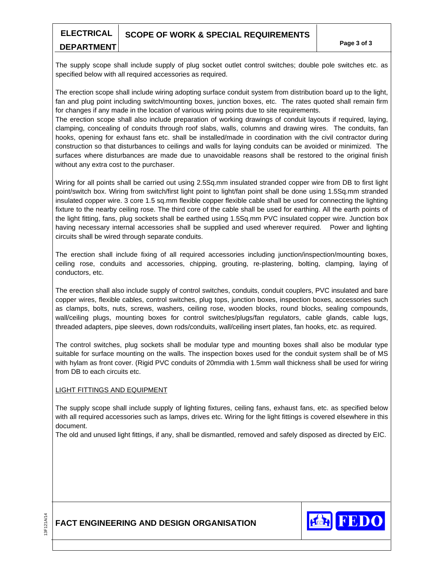#### **ELECTRICAL SCOPE OF WORK & SPECIAL REQUIREMENTS**

# **DEPARTMENT**

The supply scope shall include supply of plug socket outlet control switches; double pole switches etc. as specified below with all required accessories as required.

The erection scope shall include wiring adopting surface conduit system from distribution board up to the light, fan and plug point including switch/mounting boxes, junction boxes, etc. The rates quoted shall remain firm for changes if any made in the location of various wiring points due to site requirements.

The erection scope shall also include preparation of working drawings of conduit layouts if required, laying, clamping, concealing of conduits through roof slabs, walls, columns and drawing wires. The conduits, fan hooks, opening for exhaust fans etc. shall be installed/made in coordination with the civil contractor during construction so that disturbances to ceilings and walls for laying conduits can be avoided or minimized. The surfaces where disturbances are made due to unavoidable reasons shall be restored to the original finish without any extra cost to the purchaser.

Wiring for all points shall be carried out using 2.5Sq.mm insulated stranded copper wire from DB to first light point/switch box. Wiring from switch/first light point to light/fan point shall be done using 1.5Sq.mm stranded insulated copper wire. 3 core 1.5 sq.mm flexible copper flexible cable shall be used for connecting the lighting fixture to the nearby ceiling rose. The third core of the cable shall be used for earthing. All the earth points of the light fitting, fans, plug sockets shall be earthed using 1.5Sq.mm PVC insulated copper wire. Junction box having necessary internal accessories shall be supplied and used wherever required. Power and lighting circuits shall be wired through separate conduits.

The erection shall include fixing of all required accessories including junction/inspection/mounting boxes, ceiling rose, conduits and accessories, chipping, grouting, re-plastering, bolting, clamping, laying of conductors, etc.

The erection shall also include supply of control switches, conduits, conduit couplers, PVC insulated and bare copper wires, flexible cables, control switches, plug tops, junction boxes, inspection boxes, accessories such as clamps, bolts, nuts, screws, washers, ceiling rose, wooden blocks, round blocks, sealing compounds, wall/ceiling plugs, mounting boxes for control switches/plugs/fan regulators, cable glands, cable lugs, threaded adapters, pipe sleeves, down rods/conduits, wall/ceiling insert plates, fan hooks, etc. as required.

The control switches, plug sockets shall be modular type and mounting boxes shall also be modular type suitable for surface mounting on the walls. The inspection boxes used for the conduit system shall be of MS with hylam as front cover. (Rigid PVC conduits of 20mmdia with 1.5mm wall thickness shall be used for wiring from DB to each circuits etc.

#### LIGHT FITTINGS AND EQUIPMENT

The supply scope shall include supply of lighting fixtures, ceiling fans, exhaust fans, etc. as specified below with all required accessories such as lamps, drives etc. Wiring for the light fittings is covered elsewhere in this document.

The old and unused light fittings, if any, shall be dismantled, removed and safely disposed as directed by EIC.



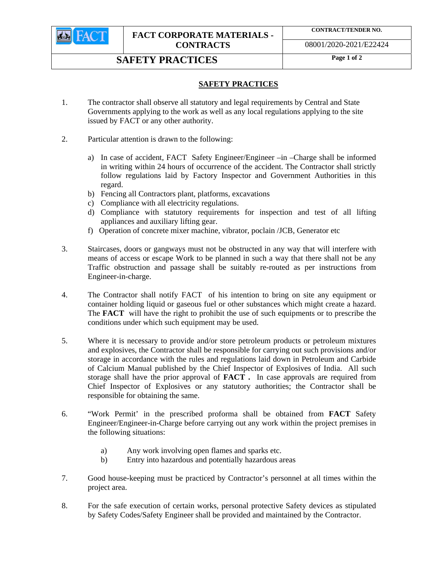

**CONTRACT/TENDER NO.** 

08001/2020-2021/E22424

# **SAFETY PRACTICES** Page 1 of 2

# **SAFETY PRACTICES**

- 1. The contractor shall observe all statutory and legal requirements by Central and State Governments applying to the work as well as any local regulations applying to the site issued by FACT or any other authority.
- 2. Particular attention is drawn to the following:
	- a) In case of accident, FACT Safety Engineer/Engineer –in –Charge shall be informed in writing within 24 hours of occurrence of the accident. The Contractor shall strictly follow regulations laid by Factory Inspector and Government Authorities in this regard.
	- b) Fencing all Contractors plant, platforms, excavations
	- c) Compliance with all electricity regulations.
	- d) Compliance with statutory requirements for inspection and test of all lifting appliances and auxiliary lifting gear.
	- f) Operation of concrete mixer machine, vibrator, poclain /JCB, Generator etc
- 3. Staircases, doors or gangways must not be obstructed in any way that will interfere with means of access or escape Work to be planned in such a way that there shall not be any Traffic obstruction and passage shall be suitably re-routed as per instructions from Engineer-in-charge.
- 4. The Contractor shall notify FACT of his intention to bring on site any equipment or container holding liquid or gaseous fuel or other substances which might create a hazard. The **FACT** will have the right to prohibit the use of such equipments or to prescribe the conditions under which such equipment may be used.
- 5. Where it is necessary to provide and/or store petroleum products or petroleum mixtures and explosives, the Contractor shall be responsible for carrying out such provisions and/or storage in accordance with the rules and regulations laid down in Petroleum and Carbide of Calcium Manual published by the Chief Inspector of Explosives of India. All such storage shall have the prior approval of **FACT .** In case approvals are required from Chief Inspector of Explosives or any statutory authorities; the Contractor shall be responsible for obtaining the same.
- 6. "Work Permit' in the prescribed proforma shall be obtained from **FACT** Safety Engineer/Engineer-in-Charge before carrying out any work within the project premises in the following situations:
	- a) Any work involving open flames and sparks etc.
	- b) Entry into hazardous and potentially hazardous areas
- 7. Good house-keeping must be practiced by Contractor's personnel at all times within the project area.
- 8. For the safe execution of certain works, personal protective Safety devices as stipulated by Safety Codes/Safety Engineer shall be provided and maintained by the Contractor.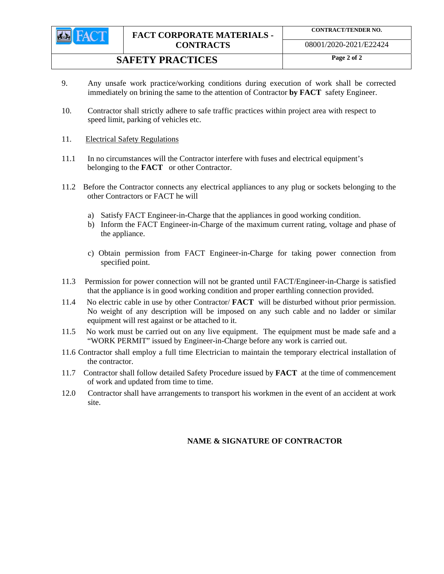

# **SAFETY PRACTICES** Page 2 of 2

- 9. Any unsafe work practice/working conditions during execution of work shall be corrected immediately on brining the same to the attention of Contractor **by FACT** safety Engineer.
- 10. Contractor shall strictly adhere to safe traffic practices within project area with respect to speed limit, parking of vehicles etc.
- 11. Electrical Safety Regulations
- 11.1 In no circumstances will the Contractor interfere with fuses and electrical equipment's belonging to the **FACT** or other Contractor.
- 11.2 Before the Contractor connects any electrical appliances to any plug or sockets belonging to the other Contractors or FACT he will
	- a) Satisfy FACT Engineer-in-Charge that the appliances in good working condition.
	- b) Inform the FACT Engineer-in-Charge of the maximum current rating, voltage and phase of the appliance.
	- c) Obtain permission from FACT Engineer-in-Charge for taking power connection from specified point.
- 11.3 Permission for power connection will not be granted until FACT/Engineer-in-Charge is satisfied that the appliance is in good working condition and proper earthling connection provided.
- 11.4 No electric cable in use by other Contractor/ **FACT** will be disturbed without prior permission. No weight of any description will be imposed on any such cable and no ladder or similar equipment will rest against or be attached to it.
- 11.5 No work must be carried out on any live equipment. The equipment must be made safe and a "WORK PERMIT" issued by Engineer-in-Charge before any work is carried out.
- 11.6 Contractor shall employ a full time Electrician to maintain the temporary electrical installation of the contractor.
- 11.7 Contractor shall follow detailed Safety Procedure issued by **FACT** at the time of commencement of work and updated from time to time.
- 12.0 Contractor shall have arrangements to transport his workmen in the event of an accident at work site.

# **NAME & SIGNATURE OF CONTRACTOR**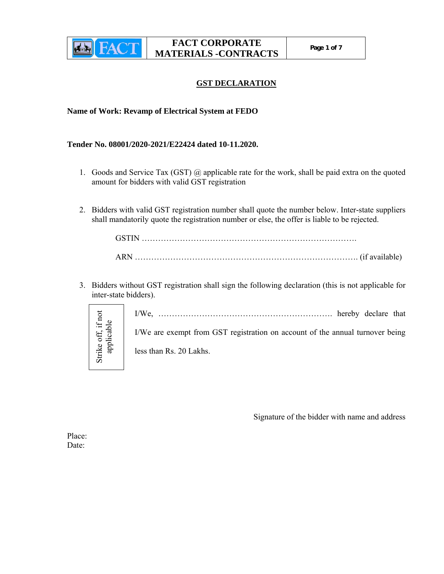

# **GST DECLARATION**

## **Name of Work: Revamp of Electrical System at FEDO**

**Tender No. 08001/2020-2021/E22424 dated 10-11.2020.** 

- 1. Goods and Service Tax (GST) @ applicable rate for the work, shall be paid extra on the quoted amount for bidders with valid GST registration
- 2. Bidders with valid GST registration number shall quote the number below. Inter-state suppliers shall mandatorily quote the registration number or else, the offer is liable to be rejected.

3. Bidders without GST registration shall sign the following declaration (this is not applicable for inter-state bidders).

> I/We, ………………………………………………………. hereby declare that I/We are exempt from GST registration on account of the annual turnover being

less than Rs. 20 Lakhs.

Signature of the bidder with name and address

Place: Date:

Strike off, if not Strike off, if not<br>applicable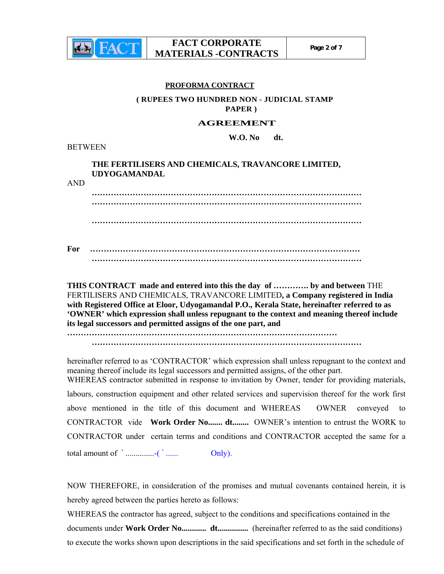

#### **PROFORMA CONTRACT**

# **( RUPEES TWO HUNDRED NON - JUDICIAL STAMP PAPER )**

#### **AGREEMENT**

 **W.O. No dt.** 

**BETWEEN** 

## **THE FERTILISERS AND CHEMICALS, TRAVANCORE LIMITED, UDYOGAMANDAL**

AND

**……………………………………………………………………………………… ……………………………………………………………………………………… ……………………………………………………………………………………… For ……………………………………………………………………………………… ………………………………………………………………………………………**

**THIS CONTRACT made and entered into this the day of …………. by and between** THE FERTILISERS AND CHEMICALS, TRAVANCORE LIMITED**, a Company registered in India with Registered Office at Eloor, Udyogamandal P.O., Kerala State, hereinafter referred to as 'OWNER' which expression shall unless repugnant to the context and meaning thereof include its legal successors and permitted assigns of the one part, and** 

**………………………………………………………………………………………** 

**………………………………………………………………………………………**

hereinafter referred to as 'CONTRACTOR' which expression shall unless repugnant to the context and meaning thereof include its legal successors and permitted assigns, of the other part. WHEREAS contractor submitted in response to invitation by Owner, tender for providing materials, labours, construction equipment and other related services and supervision thereof for the work first above mentioned in the title of this document and WHEREAS OWNER conveyed to CONTRACTOR vide **Work Order No....... dt........** OWNER's intention to entrust the WORK to CONTRACTOR under certain terms and conditions and CONTRACTOR accepted the same for a total amount of ` ..............-( ` ...... Only).

NOW THEREFORE, in consideration of the promises and mutual covenants contained herein, it is hereby agreed between the parties hereto as follows:

WHEREAS the contractor has agreed, subject to the conditions and specifications contained in the documents under **Work Order No............ dt...............** (hereinafter referred to as the said conditions) to execute the works shown upon descriptions in the said specifications and set forth in the schedule of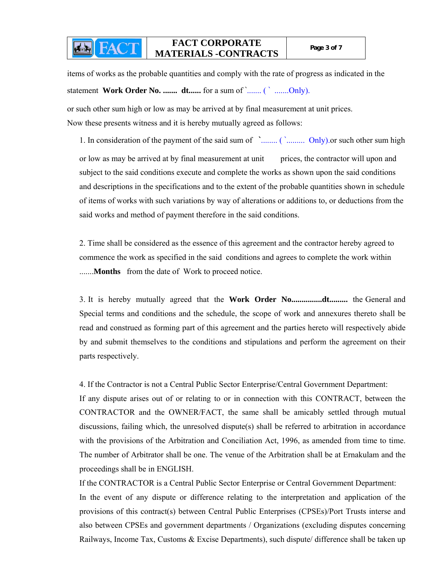**EAR FACT** 

items of works as the probable quantities and comply with the rate of progress as indicated in the statement **Work Order No. .......** dt...... for a sum of `....... ( ` .......Only).

or such other sum high or low as may be arrived at by final measurement at unit prices. Now these presents witness and it is hereby mutually agreed as follows:

1. In consideration of the payment of the said sum of **`**........ ( `......... Only).or such other sum high or low as may be arrived at by final measurement at unit prices, the contractor will upon and subject to the said conditions execute and complete the works as shown upon the said conditions and descriptions in the specifications and to the extent of the probable quantities shown in schedule of items of works with such variations by way of alterations or additions to, or deductions from the said works and method of payment therefore in the said conditions.

2. Time shall be considered as the essence of this agreement and the contractor hereby agreed to commence the work as specified in the said conditions and agrees to complete the work within .......**Months** from the date of Work to proceed notice.

3. It is hereby mutually agreed that the **Work Order No...............dt.........** the General and Special terms and conditions and the schedule, the scope of work and annexures thereto shall be read and construed as forming part of this agreement and the parties hereto will respectively abide by and submit themselves to the conditions and stipulations and perform the agreement on their parts respectively.

4. If the Contractor is not a Central Public Sector Enterprise/Central Government Department:

If any dispute arises out of or relating to or in connection with this CONTRACT, between the CONTRACTOR and the OWNER/FACT, the same shall be amicably settled through mutual discussions, failing which, the unresolved dispute(s) shall be referred to arbitration in accordance with the provisions of the Arbitration and Conciliation Act, 1996, as amended from time to time. The number of Arbitrator shall be one. The venue of the Arbitration shall be at Ernakulam and the proceedings shall be in ENGLISH.

If the CONTRACTOR is a Central Public Sector Enterprise or Central Government Department:

In the event of any dispute or difference relating to the interpretation and application of the provisions of this contract(s) between Central Public Enterprises (CPSEs)/Port Trusts interse and also between CPSEs and government departments / Organizations (excluding disputes concerning Railways, Income Tax, Customs & Excise Departments), such dispute/ difference shall be taken up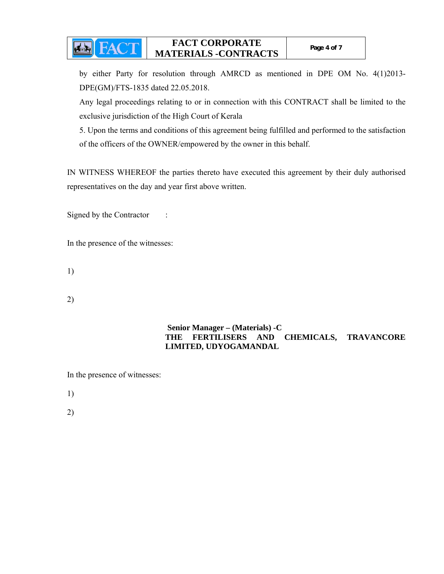by either Party for resolution through AMRCD as mentioned in DPE OM No. 4(1)2013- DPE(GM)/FTS-1835 dated 22.05.2018.

Any legal proceedings relating to or in connection with this CONTRACT shall be limited to the exclusive jurisdiction of the High Court of Kerala

5. Upon the terms and conditions of this agreement being fulfilled and performed to the satisfaction of the officers of the OWNER/empowered by the owner in this behalf.

IN WITNESS WHEREOF the parties thereto have executed this agreement by their duly authorised representatives on the day and year first above written.

Signed by the Contractor :

**Ex FACT** 

In the presence of the witnesses:

1)

2)

# **Senior Manager – (Materials) -C THE FERTILISERS AND CHEMICALS, TRAVANCORE LIMITED, UDYOGAMANDAL**

In the presence of witnesses:

1)

2)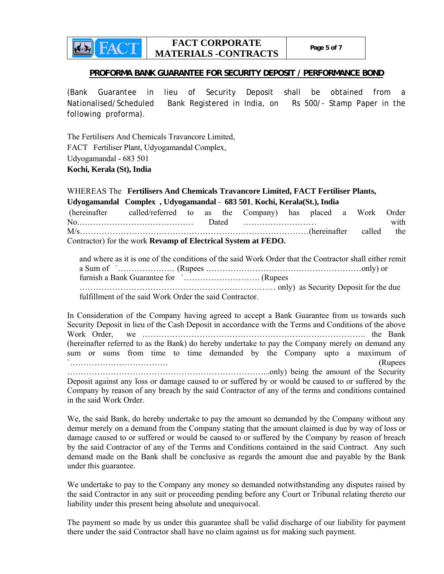### **PROFORMA BANK GUARANTEE FOR SECURITY DEPOSIT / PERFORMANCE BOND**

(Bank Guarantee in lieu of Security Deposit shall be obtained from a Nationalised/Scheduled Bank Registered in India, on Rs 500/- Stamp Paper in the following proforma).

The Fertilisers And Chemicals Travancore Limited, FACT Fertiliser Plant, Udyogamandal Complex, Udyogamandal - 683 501 **Kochi, Kerala (St), India**

det

WHEREAS The **Fertilisers And Chemicals Travancore Limited, FACT Fertiliser Plants, Udyogamandal Complex , Udyogamandal** - **683 501**, **Kochi, Kerala(St.), India** (hereinafter called/referred to as the Company) has placed a Work Order No. 2000 Monder with the state of the contract of the basic contract with the with the with the state of the view of the view of the view of the view of the view of the view of the view of the view of the view of the view M/s…………………………………………………………………………(hereinafter called the Contractor) for the work **Revamp of Electrical System at FEDO.** 

| and where as it is one of the conditions of the said Work Order that the Contractor shall either remit |  |  |  |  |  |
|--------------------------------------------------------------------------------------------------------|--|--|--|--|--|
|                                                                                                        |  |  |  |  |  |
|                                                                                                        |  |  |  |  |  |
|                                                                                                        |  |  |  |  |  |
| fulfillment of the said Work Order the said Contractor.                                                |  |  |  |  |  |

In Consideration of the Company having agreed to accept a Bank Guarantee from us towards such Security Deposit in lieu of the Cash Deposit in accordance with the Terms and Conditions of the above Work Order, we ………………………………………………………………………. the Bank (hereinafter referred to as the Bank) do hereby undertake to pay the Company merely on demand any sum or sums from time to time demanded by the Company upto a maximum of  $\sum_{n=1}^{\infty}$  (Rupees ………………………………………………………………...only) being the amount of the Security Deposit against any loss or damage caused to or suffered by or would be caused to or suffered by the Company by reason of any breach by the said Contractor of any of the terms and conditions contained in the said Work Order.

We, the said Bank, do hereby undertake to pay the amount so demanded by the Company without any demur merely on a demand from the Company stating that the amount claimed is due by way of loss or damage caused to or suffered or would be caused to or suffered by the Company by reason of breach by the said Contractor of any of the Terms and Conditions contained in the said Contract. Any such demand made on the Bank shall be conclusive as regards the amount due and payable by the Bank under this guarantee.

We undertake to pay to the Company any money so demanded notwithstanding any disputes raised by the said Contractor in any suit or proceeding pending before any Court or Tribunal relating thereto our liability under this present being absolute and unequivocal.

The payment so made by us under this guarantee shall be valid discharge of our liability for payment there under the said Contractor shall have no claim against us for making such payment.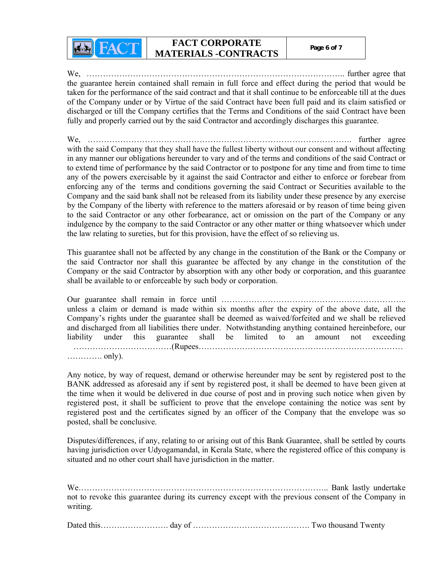**EACT** 

We, ………………………………………………………………………………….. further agree that the guarantee herein contained shall remain in full force and effect during the period that would be taken for the performance of the said contract and that it shall continue to be enforceable till at the dues of the Company under or by Virtue of the said Contract have been full paid and its claim satisfied or discharged or till the Company certifies that the Terms and Conditions of the said Contract have been fully and properly carried out by the said Contractor and accordingly discharges this guarantee.

We, ……………………………………………………………………………………. further agree with the said Company that they shall have the fullest liberty without our consent and without affecting in any manner our obligations hereunder to vary and of the terms and conditions of the said Contract or to extend time of performance by the said Contractor or to postpone for any time and from time to time any of the powers exercisable by it against the said Contractor and either to enforce or forebear from enforcing any of the terms and conditions governing the said Contract or Securities available to the Company and the said bank shall not be released from its liability under these presence by any exercise by the Company of the liberty with reference to the matters aforesaid or by reason of time being given to the said Contractor or any other forbearance, act or omission on the part of the Company or any indulgence by the company to the said Contractor or any other matter or thing whatsoever which under the law relating to sureties, but for this provision, have the effect of so relieving us.

This guarantee shall not be affected by any change in the constitution of the Bank or the Company or the said Contractor nor shall this guarantee be affected by any change in the constitution of the Company or the said Contractor by absorption with any other body or corporation, and this guarantee shall be available to or enforceable by such body or corporation.

Our guarantee shall remain in force until ………………………………………………………….. unless a claim or demand is made within six months after the expiry of the above date, all the Company's rights under the guarantee shall be deemed as waived/forfeited and we shall be relieved and discharged from all liabilities there under. Notwithstanding anything contained hereinbefore, our liability under this guarantee shall be limited to an amount not exceeding ………………………………(Rupees………………………………………………………………… …………. only).

Any notice, by way of request, demand or otherwise hereunder may be sent by registered post to the BANK addressed as aforesaid any if sent by registered post, it shall be deemed to have been given at the time when it would be delivered in due course of post and in proving such notice when given by registered post, it shall be sufficient to prove that the envelope containing the notice was sent by registered post and the certificates signed by an officer of the Company that the envelope was so posted, shall be conclusive.

Disputes/differences, if any, relating to or arising out of this Bank Guarantee, shall be settled by courts having jurisdiction over Udyogamandal, in Kerala State, where the registered office of this company is situated and no other court shall have jurisdiction in the matter.

We……………………………………………………………………………….. Bank lastly undertake not to revoke this guarantee during its currency except with the previous consent of the Company in writing.

Dated this……………………. day of ……………………………………. Two thousand Twenty